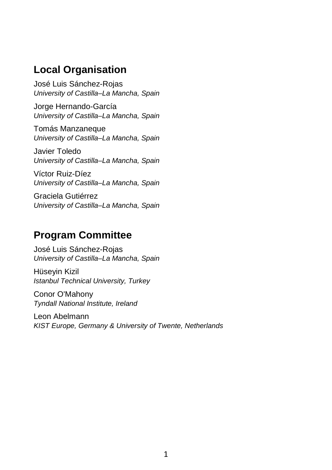#### **Local Organisation**

José Luis Sánchez-Rojas *University of Castilla–La Mancha, Spain*

Jorge Hernando-García *University of Castilla–La Mancha, Spain*

Tomás Manzaneque *University of Castilla–La Mancha, Spain*

Javier Toledo *University of Castilla–La Mancha, Spain*

Víctor Ruiz-Díez *University of Castilla–La Mancha, Spain*

Graciela Gutiérrez *University of Castilla–La Mancha, Spain*

#### **Program Committee**

José Luis Sánchez-Rojas *University of Castilla–La Mancha, Spain*

Hüseyin Kizil *Istanbul Technical University, Turkey*

Conor O'Mahony *Tyndall National Institute, Ireland*

Leon Abelmann *KIST Europe, Germany & University of Twente, Netherlands*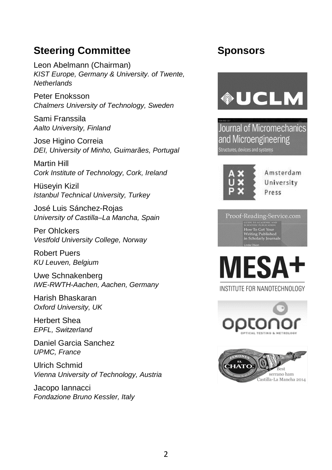#### **Steering Committee**

Leon Abelmann (Chairman) *KIST Europe, Germany & University. of Twente, Netherlands* 

Peter Enoksson *Chalmers University of Technology, Sweden*

Sami Franssila *Aalto University, Finland*

Jose Higino Correia *DEI, University of Minho, Guimarães, Portugal*

Martin Hill *Cork Institute of Technology, Cork, Ireland*

Hüseyin Kizil *Istanbul Technical University, Turkey*

José Luis Sánchez-Rojas *University of Castilla–La Mancha, Spain*

Per Ohlckers *Vestfold University College, Norway*

Robert Puers *KU Leuven, Belgium*

Uwe Schnakenberg *IWE-RWTH-Aachen, Aachen, Germany*

Harish Bhaskaran *Oxford University, UK*

Herbert Shea *EPFL, Switzerland*

Daniel Garcia Sanchez *UPMC, France*

Ulrich Schmid *Vienna University of Technology, Austria*

Jacopo Iannacci *Fondazione Bruno Kessler, Italy*

#### **Sponsors**



**Journal of Micromechanics** and Microengineering Structures, devices and systems



Amsterdam University Press





INSTITUTE FOR NANOTECHNOLOGY



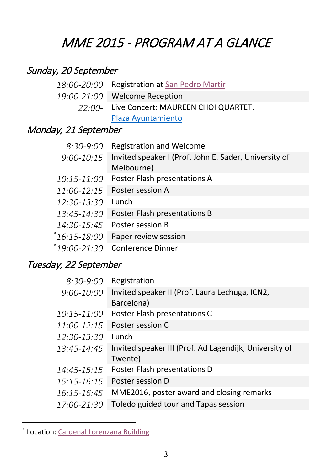# MME 2015 - PROGRAM AT A GLANCE

#### Sunday, 20 September

| 18:00-20:00 Registration at San Pedro Martir |  |  |  |
|----------------------------------------------|--|--|--|
| 19:00-21:00   Welcome Reception              |  |  |  |
| 22:00- Live Concert: MAUREEN CHOI QUARTET.   |  |  |  |
| Plaza Ayuntamiento                           |  |  |  |

#### Monday, 21 September

| $8:30-9:00$   | <b>Registration and Welcome</b>                       |  |  |
|---------------|-------------------------------------------------------|--|--|
| $9:00-10:15$  | Invited speaker I (Prof. John E. Sader, University of |  |  |
|               | Melbourne)                                            |  |  |
| 10:15-11:00   | Poster Flash presentations A                          |  |  |
| $11:00-12:15$ | Poster session A                                      |  |  |
| 12:30-13:30   | Lunch                                                 |  |  |
| 13:45-14:30   | Poster Flash presentations B                          |  |  |
| 14:30-15:45   | Poster session B                                      |  |  |
| *16:15-18:00  | Paper review session                                  |  |  |
| *19:00-21:30  | <b>Conference Dinner</b>                              |  |  |
|               |                                                       |  |  |

#### Tuesday, 22 September

| $8:30-9:00$   | Registration                                           |
|---------------|--------------------------------------------------------|
| 9:00-10:00    | Invited speaker II (Prof. Laura Lechuga, ICN2,         |
|               | Barcelona)                                             |
| 10:15-11:00   | Poster Flash presentations C                           |
| $11:00-12:15$ | Poster session C                                       |
| 12:30-13:30   | Lunch                                                  |
| 13:45-14:45   | Invited speaker III (Prof. Ad Lagendijk, University of |
|               | Twente)                                                |
| 14:45-15:15   | Poster Flash presentations D                           |
| 15:15-16:15   | Poster session D                                       |
| 16:15-16:45   | MME2016, poster award and closing remarks              |
| 17:00-21:30   | Toledo guided tour and Tapas session                   |
|               |                                                        |

<span id="page-2-0"></span><sup>\*</sup> Location[: Cardenal Lorenzana Building](https://www.google.es/maps/@39.8591458,-4.0258562,3a,75y,39.57h,97.07t/data=!3m6!1e1!3m4!1sj-KbaQky__-O1jOEpR2rWg!2e0!7i13312!8i6656)

 $\overline{a}$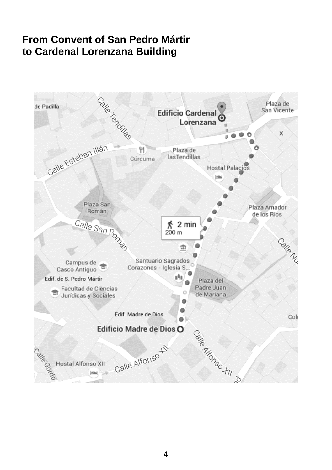#### **From Convent of San Pedro Mártir to Cardenal Lorenzana Building**

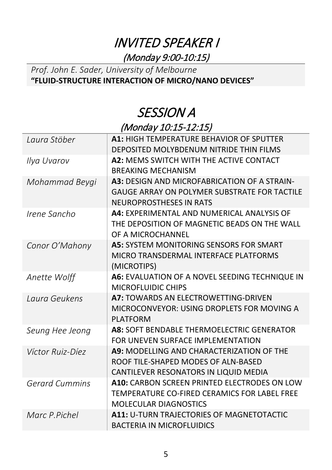# INVITED SPEAKER I (Monday 9:00-10:15)

#### *Prof. John E. Sader, University of Melbourne*  **"FLUID-STRUCTURE INTERACTION OF MICRO/NANO DEVICES"**

# SESSION A (Monday 10:15-12:15)

| Laura Stöber          | <b>A1: HIGH TEMPERATURE BEHAVIOR OF SPUTTER</b><br>DEPOSITED MOLYBDENUM NITRIDE THIN FILMS                                       |
|-----------------------|----------------------------------------------------------------------------------------------------------------------------------|
| Ilya Uvarov           | A2: MEMS SWITCH WITH THE ACTIVE CONTACT<br><b>BREAKING MECHANISM</b>                                                             |
| Mohammad Beygi        | A3: DESIGN AND MICROFABRICATION OF A STRAIN-<br>GAUGE ARRAY ON POLYMER SUBSTRATE FOR TACTILE<br><b>NEUROPROSTHESES IN RATS</b>   |
| Irene Sancho          | A4: EXPERIMENTAL AND NUMERICAL ANALYSIS OF<br>THE DEPOSITION OF MAGNETIC BEADS ON THE WALL<br>OF A MICROCHANNEL                  |
| Conor O'Mahony        | <b>A5: SYSTEM MONITORING SENSORS FOR SMART</b><br>MICRO TRANSDERMAL INTERFACE PLATFORMS<br>(MICROTIPS)                           |
| Anette Wolff          | A6: EVALUATION OF A NOVEL SEEDING TECHNIQUE IN<br><b>MICROFLUIDIC CHIPS</b>                                                      |
| Laura Geukens         | A7: TOWARDS AN ELECTROWETTING-DRIVEN<br>MICROCONVEYOR: USING DROPLETS FOR MOVING A<br><b>PLATFORM</b>                            |
| Seung Hee Jeong       | A8: SOFT BENDABLE THERMOELECTRIC GENERATOR<br>FOR UNEVEN SURFACE IMPLEMENTATION                                                  |
| Víctor Ruiz-Díez      | <b>A9: MODELLING AND CHARACTERIZATION OF THE</b><br>ROOF TILE-SHAPED MODES OF ALN-BASED<br>CANTILEVER RESONATORS IN LIQUID MEDIA |
| <b>Gerard Cummins</b> | A10: CARBON SCREEN PRINTED ELECTRODES ON LOW<br>TEMPERATURE CO-FIRED CERAMICS FOR LABEL FREE<br><b>MOLECULAR DIAGNOSTICS</b>     |
| Marc P.Pichel         | A11: U-TURN TRAJECTORIES OF MAGNETOTACTIC<br><b>BACTERIA IN MICROFLUIDICS</b>                                                    |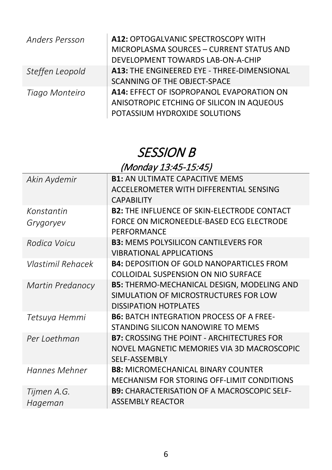| <b>Anders Persson</b> | A12: OPTOGALVANIC SPECTROSCOPY WITH<br>MICROPLASMA SOURCES - CURRENT STATUS AND<br>DEVELOPMENT TOWARDS LAB-ON-A-CHIP    |
|-----------------------|-------------------------------------------------------------------------------------------------------------------------|
| Steffen Leopold       | A13: THE ENGINEERED EYE - THREE-DIMENSIONAL<br>SCANNING OF THE OBJECT-SPACE                                             |
| Tiago Monteiro        | A14: EFFECT OF ISOPROPANOL EVAPORATION ON<br>ANISOTROPIC ETCHING OF SILICON IN AQUEOUS<br>POTASSIUM HYDROXIDE SOLUTIONS |

# SESSION B (Monday 13:45-15:45)

| Akin Aydemir      | <b>B1: AN ULTIMATE CAPACITIVE MEMS</b>                  |
|-------------------|---------------------------------------------------------|
|                   | ACCELEROMETER WITH DIFFERENTIAL SENSING                 |
|                   | <b>CAPABILITY</b>                                       |
| Konstantin        | <b>B2: THE INFLUENCE OF SKIN-ELECTRODE CONTACT</b>      |
| Grygoryev         | FORCE ON MICRONEEDLE-BASED ECG ELECTRODE<br>PERFORMANCE |
| Rodica Voicu      | <b>B3: MEMS POLYSILICON CANTILEVERS FOR</b>             |
|                   | <b>VIBRATIONAL APPLICATIONS</b>                         |
| Vlastimil Rehacek | <b>B4: DEPOSITION OF GOLD NANOPARTICLES FROM</b>        |
|                   | COLLOIDAL SUSPENSION ON NIO SURFACE                     |
| Martin Predanocy  | <b>B5: THERMO-MECHANICAL DESIGN, MODELING AND</b>       |
|                   | SIMULATION OF MICROSTRUCTURES FOR LOW                   |
|                   | <b>DISSIPATION HOTPLATES</b>                            |
| Tetsuya Hemmi     | <b>B6: BATCH INTEGRATION PROCESS OF A FREE-</b>         |
|                   | STANDING SILICON NANOWIRE TO MEMS                       |
| Per Loethman      | <b>B7: CROSSING THE POINT - ARCHITECTURES FOR</b>       |
|                   | NOVEL MAGNETIC MEMORIES VIA 3D MACROSCOPIC              |
|                   | <b>SELF-ASSEMBLY</b>                                    |
| Hannes Mehner     | <b>B8: MICROMECHANICAL BINARY COUNTER</b>               |
|                   | MECHANISM FOR STORING OFF-LIMIT CONDITIONS              |
| Tijmen A.G.       | <b>B9: CHARACTERISATION OF A MACROSCOPIC SELF-</b>      |
| Hageman           | <b>ASSEMBLY REACTOR</b>                                 |
|                   |                                                         |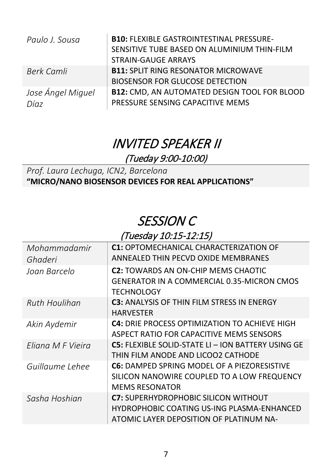| Paulo J. Sousa            | <b>B10: FLEXIBLE GASTROINTESTINAL PRESSURE-</b><br>SENSITIVE TUBE BASED ON ALUMINIUM THIN-FILM<br><b>STRAIN-GAUGE ARRAYS</b> |
|---------------------------|------------------------------------------------------------------------------------------------------------------------------|
| Berk Camli                | <b>B11: SPLIT RING RESONATOR MICROWAVE</b><br><b>BIOSENSOR FOR GLUCOSE DETECTION</b>                                         |
| Jose Ángel Miguel<br>Díaz | <b>B12: CMD, AN AUTOMATED DESIGN TOOL FOR BLOOD</b><br>PRESSURE SENSING CAPACITIVE MEMS                                      |

# INVITED SPEAKER II (Tueday 9:00-10:00)

*Prof. Laura Lechuga, ICN2, Barcelona*  **"MICRO/NANO BIOSENSOR DEVICES FOR REAL APPLICATIONS"**

# SESSION C

#### (Tuesday 10:15-12:15)

| Mohammadamir<br>Ghaderi | <b>C1: OPTOMECHANICAL CHARACTERIZATION OF</b><br>ANNEALED THIN PECVD OXIDE MEMBRANES                                                 |
|-------------------------|--------------------------------------------------------------------------------------------------------------------------------------|
| Joan Barcelo            | <b>C2: TOWARDS AN ON-CHIP MEMS CHAOTIC</b><br><b>GENERATOR IN A COMMERCIAL 0.35-MICRON CMOS</b><br>TECHNOLOGY                        |
| Ruth Houlihan           | <b>C3: ANALYSIS OF THIN FILM STRESS IN ENERGY</b><br><b>HARVESTER</b>                                                                |
| Akin Aydemir            | <b>C4:</b> DRIE PROCESS OPTIMIZATION TO ACHIEVE HIGH<br>ASPECT RATIO FOR CAPACITIVE MEMS SENSORS                                     |
| Fliana M F Vieira       | <b>C5: FLEXIBLE SOLID-STATE LI – ION BATTERY USING GE</b><br>THIN FILM ANODE AND LICOO2 CATHODE                                      |
| Guillaume Lehee         | <b>C6: DAMPED SPRING MODEL OF A PIEZORESISTIVE</b><br>SILICON NANOWIRE COUPLED TO A LOW FREQUENCY<br><b>MEMS RESONATOR</b>           |
| Sasha Hoshian           | <b>C7:</b> SUPERHYDROPHOBIC SILICON WITHOUT<br>HYDROPHOBIC COATING US-ING PLASMA-ENHANCED<br>ATOMIC LAYER DEPOSITION OF PLATINUM NA- |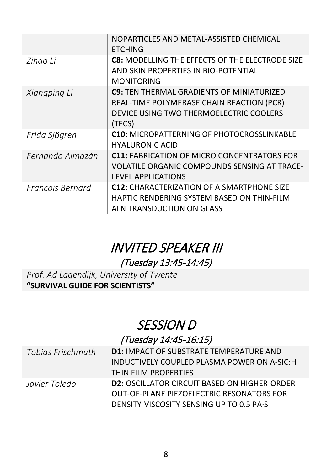|                  | NOPARTICLES AND METAL-ASSISTED CHEMICAL<br><b>ETCHING</b>                                                                                          |
|------------------|----------------------------------------------------------------------------------------------------------------------------------------------------|
| Zihao Li         | <b>C8: MODELLING THE EFFECTS OF THE ELECTRODE SIZE</b><br>AND SKIN PROPERTIES IN BIO-POTENTIAL<br><b>MONITORING</b>                                |
| Xiangping Li     | <b>C9: TEN THERMAL GRADIENTS OF MINIATURIZED</b><br>REAL-TIME POLYMERASE CHAIN REACTION (PCR)<br>DEVICE USING TWO THERMOELECTRIC COOLERS<br>(TECS) |
| Frida Sjögren    | <b>C10: MICROPATTERNING OF PHOTOCROSSLINKABLE</b><br><b>HYALURONIC ACID</b>                                                                        |
| Fernando Almazán | <b>C11: FABRICATION OF MICRO CONCENTRATORS FOR</b><br>VOLATILE ORGANIC COMPOUNDS SENSING AT TRACE-<br><b>LEVEL APPLICATIONS</b>                    |
| Francois Bernard | <b>C12: CHARACTERIZATION OF A SMARTPHONE SIZE</b><br>HAPTIC RENDERING SYSTEM BASED ON THIN-FILM<br>ALN TRANSDUCTION ON GLASS                       |

# INVITED SPEAKER III (Tuesday 13:45-14:45)

*Prof. Ad Lagendijk, University of Twente*  **"SURVIVAL GUIDE FOR SCIENTISTS"**

# SESSION D

#### (Tuesday 14:45-16:15)

| Tobias Frischmuth | D1: IMPACT OF SUBSTRATE TEMPERATURE AND             |  |  |
|-------------------|-----------------------------------------------------|--|--|
|                   | INDUCTIVELY COUPLED PLASMA POWER ON A-SIC:H         |  |  |
|                   | THIN FILM PROPERTIES                                |  |  |
| Javier Toledo     | <b>D2: OSCILLATOR CIRCUIT BASED ON HIGHER-ORDER</b> |  |  |
|                   | OUT-OF-PLANE PIEZOELECTRIC RESONATORS FOR           |  |  |
|                   | DENSITY-VISCOSITY SENSING UP TO 0.5 PA-S            |  |  |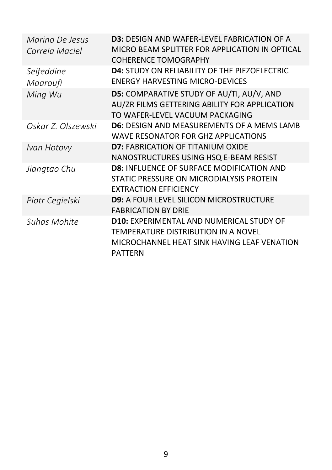| Marino De Jesus<br>Correja Maciel | <b>D3:</b> DESIGN AND WAFFR-LFVFL FABRICATION OF A<br>MICRO BEAM SPLITTER FOR APPLICATION IN OPTICAL<br><b>COHERENCE TOMOGRAPHY</b>                     |
|-----------------------------------|---------------------------------------------------------------------------------------------------------------------------------------------------------|
| Seifeddine                        | <b>D4: STUDY ON RELIABILITY OF THE PIEZOELECTRIC</b>                                                                                                    |
| Maaroufi                          | <b>ENERGY HARVESTING MICRO-DEVICES</b>                                                                                                                  |
| Ming Wu                           | D5: COMPARATIVE STUDY OF AU/TI, AU/V, AND<br>AU/ZR FILMS GETTERING ABILITY FOR APPLICATION<br>TO WAFER-LEVEL VACUUM PACKAGING                           |
| Oskar Z. Olszewski                | <b>D6: DESIGN AND MEASUREMENTS OF A MEMS LAMB</b><br>WAVE RESONATOR FOR GHZ APPLICATIONS                                                                |
| Ivan Hotovy                       | <b>D7: FABRICATION OF TITANIUM OXIDE</b><br>NANOSTRUCTURES USING HSQ E-BEAM RESIST                                                                      |
| Jiangtao Chu                      | <b>D8: INFLUENCE OF SURFACE MODIFICATION AND</b><br>STATIC PRESSURE ON MICRODIALYSIS PROTEIN<br><b>EXTRACTION EFFICIENCY</b>                            |
| Piotr Cegielski                   | <b>D9: A FOUR LEVEL SILICON MICROSTRUCTURE</b><br><b>FABRICATION BY DRIE</b>                                                                            |
| Suhas Mohite                      | <b>D10: EXPERIMENTAL AND NUMERICAL STUDY OF</b><br>TEMPERATURE DISTRIBUTION IN A NOVEL<br>MICROCHANNEL HEAT SINK HAVING LEAF VENATION<br><b>PATTERN</b> |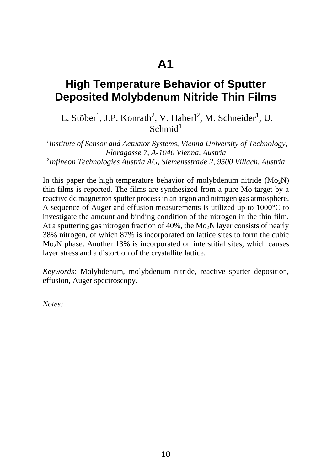#### **High Temperature Behavior of Sputter Deposited Molybdenum Nitride Thin Films**

L. Stöber<sup>1</sup>, J.P. Konrath<sup>2</sup>, V. Haberl<sup>2</sup>, M. Schneider<sup>1</sup>, U.  $Schmid<sup>1</sup>$ 

*1 Institute of Sensor and Actuator Systems, Vienna University of Technology, Floragasse 7, A-1040 Vienna, Austria 2 Infineon Technologies Austria AG, Siemensstraße 2, 9500 Villach, Austria* 

In this paper the high temperature behavior of molybdenum nitride  $(Mo<sub>2</sub>N)$ thin films is reported. The films are synthesized from a pure Mo target by a reactive dc magnetron sputter process in an argon and nitrogen gas atmosphere. A sequence of Auger and effusion measurements is utilized up to 1000°C to investigate the amount and binding condition of the nitrogen in the thin film. At a sputtering gas nitrogen fraction of  $40\%$ , the Mo<sub>2</sub>N layer consists of nearly 38% nitrogen, of which 87% is incorporated on lattice sites to form the cubic Mo2N phase. Another 13% is incorporated on interstitial sites, which causes layer stress and a distortion of the crystallite lattice.

*Keywords:* Molybdenum, molybdenum nitride, reactive sputter deposition, effusion, Auger spectroscopy.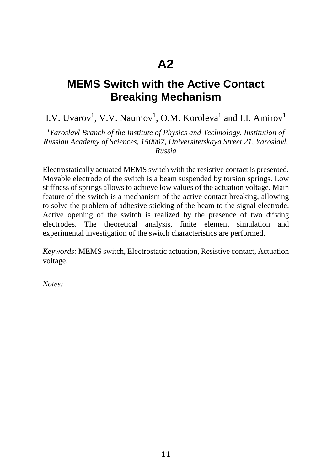### **MEMS Switch with the Active Contact Breaking Mechanism**

I.V. Uvarov<sup>1</sup>, V.V. Naumov<sup>1</sup>, O.M. Koroleva<sup>1</sup> and I.I. Amirov<sup>1</sup>

<sup>1</sup>Yaroslavl Branch of the Institute of Physics and Technology, Institution of *Russian Academy of Sciences, 150007, Universitetskaya Street 21, Yaroslavl, Russia* 

Electrostatically actuated MEMS switch with the resistive contact is presented. Movable electrode of the switch is a beam suspended by torsion springs. Low stiffness of springs allows to achieve low values of the actuation voltage. Main feature of the switch is a mechanism of the active contact breaking, allowing to solve the problem of adhesive sticking of the beam to the signal electrode. Active opening of the switch is realized by the presence of two driving electrodes. The theoretical analysis, finite element simulation and experimental investigation of the switch characteristics are performed.

*Keywords:* MEMS switch, Electrostatic actuation, Resistive contact, Actuation voltage.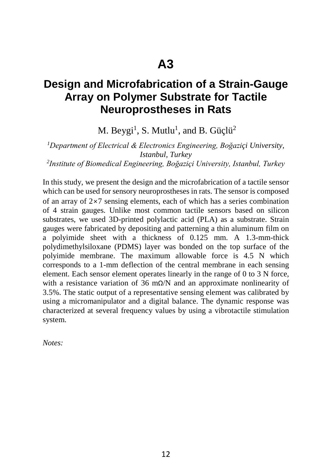#### **Design and Microfabrication of a Strain-Gauge Array on Polymer Substrate for Tactile Neuroprostheses in Rats**

M. Beygi<sup>1</sup>, S. Mutlu<sup>1</sup>, and B. Güçlü<sup>2</sup>

*1 Department of Electrical & Electronics Engineering, Boğaziçi University, Istanbul, Turkey 2 Institute of Biomedical Engineering, Boğaziçi University, Istanbul, Turkey* 

In this study, we present the design and the microfabrication of a tactile sensor which can be used for sensory neuroprostheses in rats. The sensor is composed of an array of 2×7 sensing elements, each of which has a series combination of 4 strain gauges. Unlike most common tactile sensors based on silicon substrates, we used 3D-printed polylactic acid (PLA) as a substrate. Strain gauges were fabricated by depositing and patterning a thin aluminum film on a polyimide sheet with a thickness of 0.125 mm. A 1.3-mm-thick polydimethylsiloxane (PDMS) layer was bonded on the top surface of the polyimide membrane. The maximum allowable force is 4.5 N which corresponds to a 1-mm deflection of the central membrane in each sensing element. Each sensor element operates linearly in the range of 0 to 3 N force, with a resistance variation of 36 mΩ/N and an approximate nonlinearity of 3.5%. The static output of a representative sensing element was calibrated by using a micromanipulator and a digital balance. The dynamic response was characterized at several frequency values by using a vibrotactile stimulation system.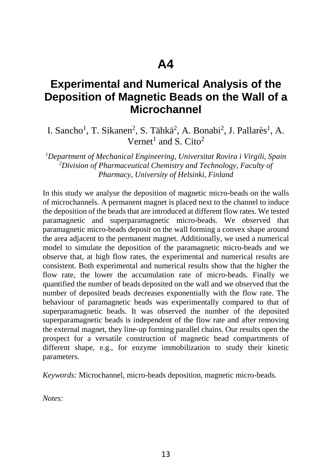#### **Experimental and Numerical Analysis of the Deposition of Magnetic Beads on the Wall of a Microchannel**

I. Sancho<sup>1</sup>, T. Sikanen<sup>2</sup>, S. Tähkä<sup>2</sup>, A. Bonabi<sup>2</sup>, J. Pallarès<sup>1</sup>, A. Vernet<sup>1</sup> and S. Cito<sup>2</sup>

*1 Department of Mechanical Engineering, Universitat Rovira i Virgili, Spain 2 Division of Pharmaceutical Chemistry and Technology, Faculty of Pharmacy, University of Helsinki, Finland*

In this study we analyse the deposition of magnetic micro-beads on the walls of microchannels. A permanent magnet is placed next to the channel to induce the deposition of the beads that are introduced at different flow rates. We tested paramagnetic and superparamagnetic micro-beads. We observed that paramagnetic micro-beads deposit on the wall forming a convex shape around the area adjacent to the permanent magnet. Additionally, we used a numerical model to simulate the deposition of the paramagnetic micro-beads and we observe that, at high flow rates, the experimental and numerical results are consistent. Both experimental and numerical results show that the higher the flow rate, the lower the accumulation rate of micro-beads. Finally we quantified the number of beads deposited on the wall and we observed that the number of deposited beads decreases exponentially with the flow rate. The behaviour of paramagnetic beads was experimentally compared to that of superparamagnetic beads. It was observed the number of the deposited superparamagnetic beads is independent of the flow rate and after removing the external magnet, they line-up forming parallel chains. Our results open the prospect for a versatile construction of magnetic bead compartments of different shape, e.g., for enzyme immobilization to study their kinetic parameters.

*Keywords:* Microchannel, micro-beads deposition, magnetic micro-beads*.*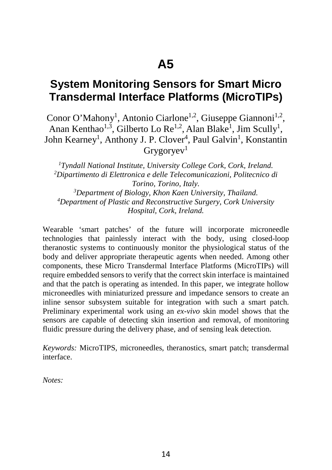#### **System Monitoring Sensors for Smart Micro Transdermal Interface Platforms (MicroTIPs)**

Conor O'Mahony<sup>1</sup>, Antonio Ciarlone<sup>1,2</sup>, Giuseppe Giannoni<sup>1,2</sup>, Anan Kenthao<sup>1,3</sup>, Gilberto Lo Re<sup>1,2</sup>, Alan Blake<sup>1</sup>, Jim Scully<sup>1</sup>, John Kearney<sup>1</sup>, Anthony J. P. Clover<sup>4</sup>, Paul Galvin<sup>1</sup>, Konstantin  $Grygorvev<sup>1</sup>$ 

<sup>1</sup> Tyndall National Institute, University College Cork, Cork, Ireland.<br><sup>2</sup> Dinartimento di Elettronica e delle Telecomunicazioni Politecnico d *Dipartimento di Elettronica e delle Telecomunicazioni, Politecnico di Torino, Torino, Italy. 3 Department of Biology, Khon Kaen University, Thailand. 4 Department of Plastic and Reconstructive Surgery, Cork University Hospital, Cork, Ireland.* 

Wearable 'smart patches' of the future will incorporate microneedle technologies that painlessly interact with the body, using closed-loop theranostic systems to continuously monitor the physiological status of the body and deliver appropriate therapeutic agents when needed. Among other components, these Micro Transdermal Interface Platforms (MicroTIPs) will require embedded sensors to verify that the correct skin interface is maintained and that the patch is operating as intended. In this paper, we integrate hollow microneedles with miniaturized pressure and impedance sensors to create an inline sensor subsystem suitable for integration with such a smart patch. Preliminary experimental work using an *ex-vivo* skin model shows that the sensors are capable of detecting skin insertion and removal, of monitoring fluidic pressure during the delivery phase, and of sensing leak detection.

*Keywords:* MicroTIPS, microneedles, theranostics, smart patch; transdermal interface.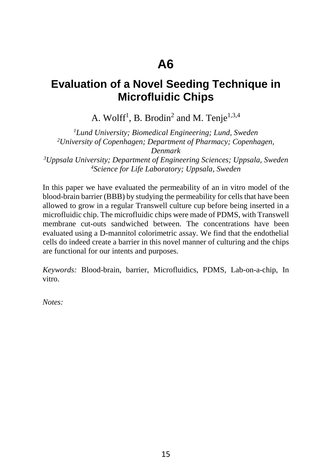#### **Evaluation of a Novel Seeding Technique in Microfluidic Chips**

A. Wolff<sup>1</sup>, B. Brodin<sup>2</sup> and M. Tenje<sup>1,3,4</sup>

*1 Lund University; Biomedical Engineering; Lund, Sweden 2 University of Copenhagen; Department of Pharmacy; Copenhagen, Denmark*

*3 Uppsala University; Department of Engineering Sciences; Uppsala, Sweden 4 Science for Life Laboratory; Uppsala, Sweden*

In this paper we have evaluated the permeability of an in vitro model of the blood-brain barrier (BBB) by studying the permeability for cells that have been allowed to grow in a regular Transwell culture cup before being inserted in a microfluidic chip. The microfluidic chips were made of PDMS, with Transwell membrane cut-outs sandwiched between. The concentrations have been evaluated using a D-mannitol colorimetric assay. We find that the endothelial cells do indeed create a barrier in this novel manner of culturing and the chips are functional for our intents and purposes.

*Keywords:* Blood-brain, barrier, Microfluidics, PDMS, Lab-on-a-chip, In vitro.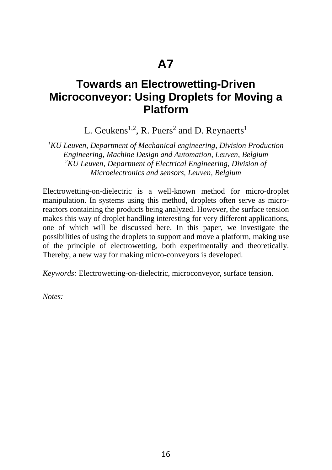#### **Towards an Electrowetting-Driven Microconveyor: Using Droplets for Moving a Platform**

L. Geukens<sup>1,2</sup>, R. Puers<sup>2</sup> and D. Reynaerts<sup>1</sup>

*1 KU Leuven, Department of Mechanical engineering, Division Production Engineering, Machine Design and Automation, Leuven, Belgium 2 KU Leuven, Department of Electrical Engineering, Division of Microelectronics and sensors, Leuven, Belgium* 

Electrowetting-on-dielectric is a well-known method for micro-droplet manipulation. In systems using this method, droplets often serve as microreactors containing the products being analyzed. However, the surface tension makes this way of droplet handling interesting for very different applications, one of which will be discussed here. In this paper, we investigate the possibilities of using the droplets to support and move a platform, making use of the principle of electrowetting, both experimentally and theoretically. Thereby, a new way for making micro-conveyors is developed.

*Keywords:* Electrowetting-on-dielectric, microconveyor, surface tension.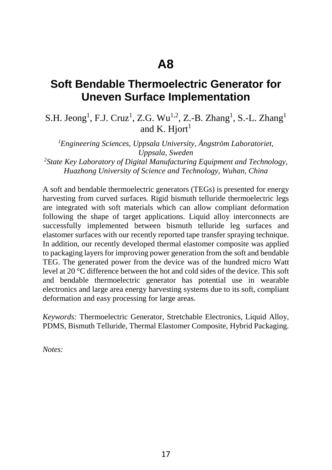#### **Soft Bendable Thermoelectric Generator for Uneven Surface Implementation**

#### S.H. Jeong<sup>1</sup>, F.J. Cruz<sup>1</sup>, Z.G. Wu<sup>1,2</sup>, Z.-B. Zhang<sup>1</sup>, S.-L. Zhang<sup>1</sup> and K. Hiort<sup>1</sup>

*1 Engineering Sciences, Uppsala University, Ångström Laboratoriet, Uppsala, Sweden 2 State Key Laboratory of Digital Manufacturing Equipment and Technology, Huazhong University of Science and Technology, Wuhan, China* 

A soft and bendable thermoelectric generators (TEGs) is presented for energy harvesting from curved surfaces. Rigid bismuth telluride thermoelectric legs are integrated with soft materials which can allow compliant deformation following the shape of target applications. Liquid alloy interconnects are successfully implemented between bismuth telluride leg surfaces and elastomer surfaces with our recently reported tape transfer spraying technique. In addition, our recently developed thermal elastomer composite was applied to packaging layers for improving power generation from the soft and bendable TEG. The generated power from the device was of the hundred micro Watt level at 20 °C difference between the hot and cold sides of the device. This soft and bendable thermoelectric generator has potential use in wearable electronics and large area energy harvesting systems due to its soft, compliant deformation and easy processing for large areas.

*Keywords:* Thermoelectric Generator, Stretchable Electronics, Liquid Alloy, PDMS, Bismuth Telluride, Thermal Elastomer Composite, Hybrid Packaging.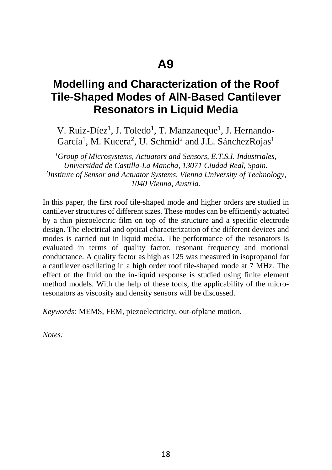#### **Modelling and Characterization of the Roof Tile-Shaped Modes of AlN-Based Cantilever Resonators in Liquid Media**

V. Ruiz-Díez<sup>1</sup>, J. Toledo<sup>1</sup>, T. Manzaneque<sup>1</sup>, J. Hernando-García<sup>1</sup>, M. Kucera<sup>2</sup>, U. Schmid<sup>2</sup> and J.L. SánchezRojas<sup>1</sup>

*1 Group of Microsystems, Actuators and Sensors, E.T.S.I. Industriales, Universidad de Castilla-La Mancha, 13071 Ciudad Real, Spain. 2 Institute of Sensor and Actuator Systems, Vienna University of Technology, 1040 Vienna, Austria.* 

In this paper, the first roof tile-shaped mode and higher orders are studied in cantilever structures of different sizes. These modes can be efficiently actuated by a thin piezoelectric film on top of the structure and a specific electrode design. The electrical and optical characterization of the different devices and modes is carried out in liquid media. The performance of the resonators is evaluated in terms of quality factor, resonant frequency and motional conductance. A quality factor as high as 125 was measured in isopropanol for a cantilever oscillating in a high order roof tile-shaped mode at 7 MHz. The effect of the fluid on the in-liquid response is studied using finite element method models. With the help of these tools, the applicability of the microresonators as viscosity and density sensors will be discussed.

*Keywords:* MEMS, FEM, piezoelectricity, out-ofplane motion.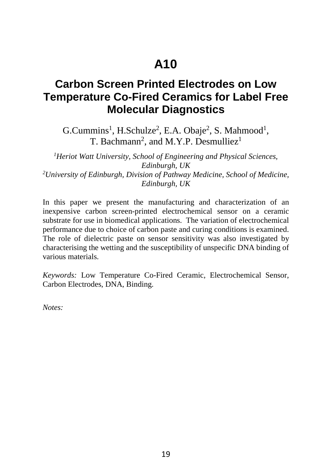#### **Carbon Screen Printed Electrodes on Low Temperature Co-Fired Ceramics for Label Free Molecular Diagnostics**

 $G.Cummins<sup>1</sup>, H.Schulze<sup>2</sup>, E.A. Obaje<sup>2</sup>, S. Mahmood<sup>1</sup>,$ T. Bachmann<sup>2</sup>, and M.Y.P. Desmulliez<sup>1</sup>

*1 Heriot Watt University, School of Engineering and Physical Sciences, Edinburgh, UK 2 University of Edinburgh, Division of Pathway Medicine, School of Medicine, Edinburgh, UK*

In this paper we present the manufacturing and characterization of an inexpensive carbon screen-printed electrochemical sensor on a ceramic substrate for use in biomedical applications. The variation of electrochemical performance due to choice of carbon paste and curing conditions is examined. The role of dielectric paste on sensor sensitivity was also investigated by characterising the wetting and the susceptibility of unspecific DNA binding of various materials.

*Keywords:* Low Temperature Co-Fired Ceramic, Electrochemical Sensor, Carbon Electrodes, DNA, Binding.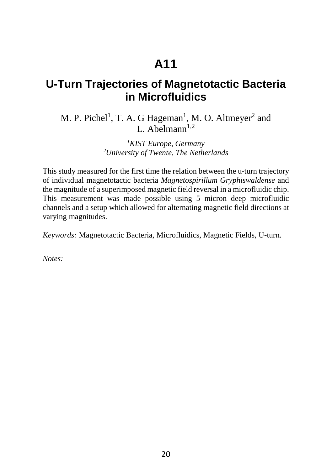#### **U-Turn Trajectories of Magnetotactic Bacteria in Microfluidics**

M. P. Pichel<sup>1</sup>, T. A. G Hageman<sup>1</sup>, M. O. Altmeyer<sup>2</sup> and L. Abelmann $1,2$ 

> *1 KIST Europe, Germany 2 University of Twente, The Netherlands*

This study measured for the first time the relation between the u-turn trajectory of individual magnetotactic bacteria *Magnetospirillum Gryphiswaldense* and the magnitude of a superimposed magnetic field reversal in a microfluidic chip. This measurement was made possible using 5 micron deep microfluidic channels and a setup which allowed for alternating magnetic field directions at varying magnitudes.

*Keywords:* Magnetotactic Bacteria, Microfluidics, Magnetic Fields, U-turn.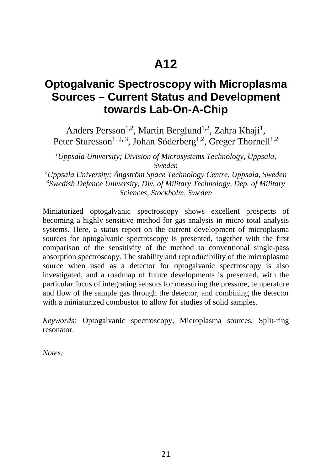#### **Optogalvanic Spectroscopy with Microplasma Sources – Current Status and Development towards Lab-On-A-Chip**

Anders Persson<sup>1,2</sup>, Martin Berglund<sup>1,2</sup>, Zahra Khaji<sup>1</sup>, Peter Sturesson<sup>1, 2, 3</sup>, Johan Söderberg<sup>1, 2</sup>, Greger Thornell<sup>1, 2</sup>

*1 Uppsala University; Division of Microsystems Technology, Uppsala,* 

*Sweden 2 Uppsala University; Ångström Space Technology Centre, Uppsala, Sweden 3 Swedish Defence University, Div. of Military Technology, Dep. of Military Sciences, Stockholm, Sweden*

Miniaturized optogalvanic spectroscopy shows excellent prospects of becoming a highly sensitive method for gas analysis in micro total analysis systems. Here, a status report on the current development of microplasma sources for optogalvanic spectroscopy is presented, together with the first comparison of the sensitivity of the method to conventional single-pass absorption spectroscopy. The stability and reproducibility of the microplasma source when used as a detector for optogalvanic spectroscopy is also investigated, and a roadmap of future developments is presented, with the particular focus of integrating sensors for measuring the pressure, temperature and flow of the sample gas through the detector, and combining the detector with a miniaturized combustor to allow for studies of solid samples.

*Keywords:* Optogalvanic spectroscopy, Microplasma sources, Split-ring resonator.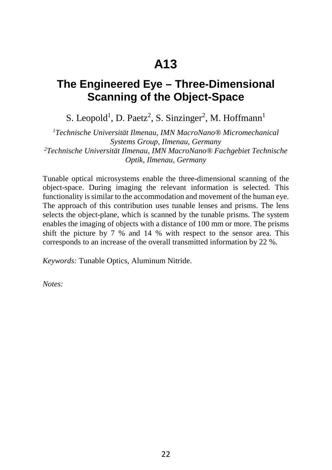#### **The Engineered Eye – Three-Dimensional Scanning of the Object-Space**

S. Leopold<sup>1</sup>, D. Paetz<sup>2</sup>, S. Sinzinger<sup>2</sup>, M. Hoffmann<sup>1</sup>

*1 Technische Universität Ilmenau, IMN MacroNano® Micromechanical Systems Group, Ilmenau, Germany 2 Technische Universität Ilmenau, IMN MacroNano® Fachgebiet Technische Optik, Ilmenau, Germany* 

Tunable optical microsystems enable the three-dimensional scanning of the object-space. During imaging the relevant information is selected. This functionality is similar to the accommodation and movement of the human eye. The approach of this contribution uses tunable lenses and prisms. The lens selects the object-plane, which is scanned by the tunable prisms. The system enables the imaging of objects with a distance of 100 mm or more. The prisms shift the picture by 7 % and 14 % with respect to the sensor area. This corresponds to an increase of the overall transmitted information by 22 %.

*Keywords:* Tunable Optics, Aluminum Nitride.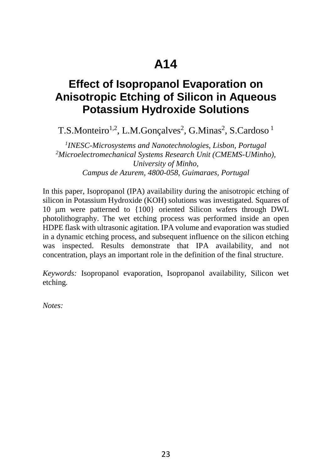### **Effect of Isopropanol Evaporation on Anisotropic Etching of Silicon in Aqueous Potassium Hydroxide Solutions**

T.S.Monteiro<sup>1,2</sup>, L.M.Gonçalves<sup>2</sup>, G.Minas<sup>2</sup>, S.Cardoso<sup>1</sup>

*1 INESC-Microsystems and Nanotechnologies, Lisbon, Portugal 2 Microelectromechanical Systems Research Unit (CMEMS-UMinho), University of Minho, Campus de Azurem, 4800-058, Guimaraes, Portugal*

In this paper, Isopropanol (IPA) availability during the anisotropic etching of silicon in Potassium Hydroxide (KOH) solutions was investigated. Squares of 10 μm were patterned to {100} oriented Silicon wafers through DWL photolithography. The wet etching process was performed inside an open HDPE flask with ultrasonic agitation. IPA volume and evaporation was studied in a dynamic etching process, and subsequent influence on the silicon etching was inspected. Results demonstrate that IPA availability, and not concentration, plays an important role in the definition of the final structure.

*Keywords:* Isopropanol evaporation, Isopropanol availability, Silicon wet etching*.*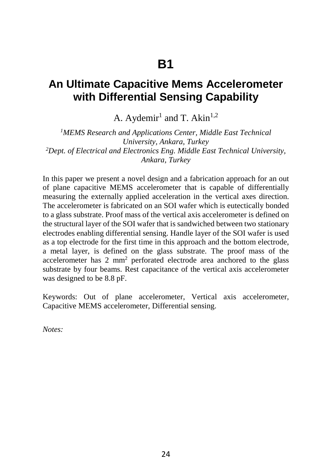#### **An Ultimate Capacitive Mems Accelerometer with Differential Sensing Capability**

A. Aydemir<sup>1</sup> and T. Akin<sup>1,2</sup>

*1 MEMS Research and Applications Center, Middle East Technical University, Ankara, Turkey 2 Dept. of Electrical and Electronics Eng. Middle East Technical University, Ankara, Turkey*

In this paper we present a novel design and a fabrication approach for an out of plane capacitive MEMS accelerometer that is capable of differentially measuring the externally applied acceleration in the vertical axes direction. The accelerometer is fabricated on an SOI wafer which is eutectically bonded to a glass substrate. Proof mass of the vertical axis accelerometer is defined on the structural layer of the SOI wafer that is sandwiched between two stationary electrodes enabling differential sensing. Handle layer of the SOI wafer is used as a top electrode for the first time in this approach and the bottom electrode, a metal layer, is defined on the glass substrate. The proof mass of the accelerometer has 2 mm2 perforated electrode area anchored to the glass substrate by four beams. Rest capacitance of the vertical axis accelerometer was designed to be 8.8 pF.

Keywords: Out of plane accelerometer, Vertical axis accelerometer, Capacitive MEMS accelerometer, Differential sensing.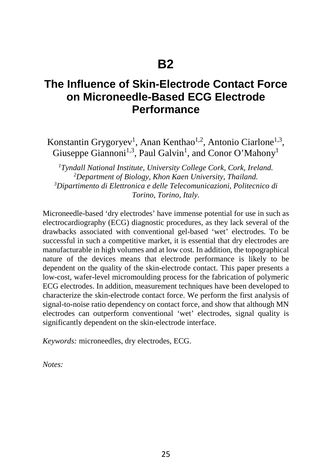#### **The Influence of Skin-Electrode Contact Force on Microneedle-Based ECG Electrode Performance**

Konstantin Grygoryev<sup>1</sup>, Anan Kenthao<sup>1,2</sup>, Antonio Ciarlone<sup>1,3</sup>, Giuseppe Giannoni<sup>1,3</sup>, Paul Galvin<sup>1</sup>, and Conor O'Mahony<sup>1</sup>

*1 Tyndall National Institute, University College Cork, Cork, Ireland. 2* <sup>2</sup>Department of Biology, Khon Kaen University, Thailand. *Dipartimento di Elettronica e delle Telecomunicazioni, Politecnico di Torino, Torino, Italy.*

Microneedle-based 'dry electrodes' have immense potential for use in such as electrocardiography (ECG) diagnostic procedures, as they lack several of the drawbacks associated with conventional gel-based 'wet' electrodes. To be successful in such a competitive market, it is essential that dry electrodes are manufacturable in high volumes and at low cost. In addition, the topographical nature of the devices means that electrode performance is likely to be dependent on the quality of the skin-electrode contact. This paper presents a low-cost, wafer-level micromoulding process for the fabrication of polymeric ECG electrodes. In addition, measurement techniques have been developed to characterize the skin-electrode contact force. We perform the first analysis of signal-to-noise ratio dependency on contact force, and show that although MN electrodes can outperform conventional 'wet' electrodes, signal quality is significantly dependent on the skin-electrode interface.

*Keywords:* microneedles, dry electrodes, ECG.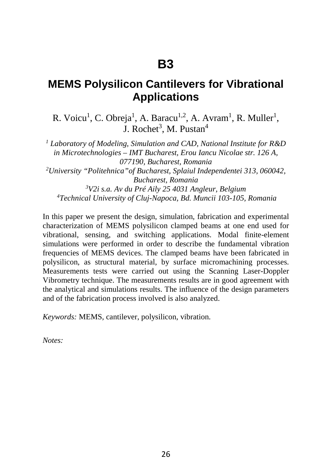#### **MEMS Polysilicon Cantilevers for Vibrational Applications**

R. Voicu<sup>1</sup>, C. Obreja<sup>1</sup>, A. Baracu<sup>1,2</sup>, A. Avram<sup>1</sup>, R. Muller<sup>1</sup>, J. Rochet<sup>3</sup>, M. Pustan<sup>4</sup>

*<sup>1</sup> Laboratory of Modeling, Simulation and CAD, National Institute for R&D in Microtechnologies – IMT Bucharest, Erou Iancu Nicolae str. 126 A, 077190, Bucharest, Romania 2 University "Politehnica"of Bucharest, Splaiul Independentei 313, 060042, Bucharest, Romania 3 V2i s.a. Av du Pré Aily 25 4031 Angleur, Belgium 4 Technical University of Cluj-Napoca, Bd. Muncii 103-105, Romania* 

In this paper we present the design, simulation, fabrication and experimental characterization of MEMS polysilicon clamped beams at one end used for vibrational, sensing, and switching applications. Modal finite-element simulations were performed in order to describe the fundamental vibration frequencies of MEMS devices. The clamped beams have been fabricated in polysilicon, as structural material, by surface micromachining processes. Measurements tests were carried out using the Scanning Laser-Doppler Vibrometry technique. The measurements results are in good agreement with the analytical and simulations results. The influence of the design parameters and of the fabrication process involved is also analyzed.

*Keywords:* MEMS, cantilever, polysilicon, vibration.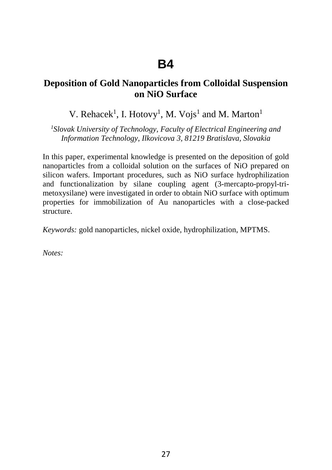#### **Deposition of Gold Nanoparticles from Colloidal Suspension on NiO Surface**

V. Rehacek<sup>1</sup>, I. Hotovy<sup>1</sup>, M. Vojs<sup>1</sup> and M. Marton<sup>1</sup>

*1 Slovak University of Technology, Faculty of Electrical Engineering and Information Technology, Ilkovicova 3, 81219 Bratislava, Slovakia* 

In this paper, experimental knowledge is presented on the deposition of gold nanoparticles from a colloidal solution on the surfaces of NiO prepared on silicon wafers. Important procedures, such as NiO surface hydrophilization and functionalization by silane coupling agent (3-mercapto-propyl-trimetoxysilane) were investigated in order to obtain NiO surface with optimum properties for immobilization of Au nanoparticles with a close-packed structure.

*Keywords:* gold nanoparticles, nickel oxide, hydrophilization, MPTMS.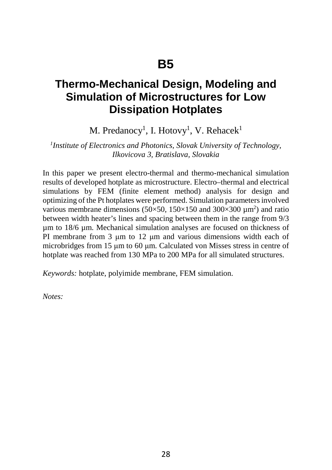#### **Thermo-Mechanical Design, Modeling and Simulation of Microstructures for Low Dissipation Hotplates**

M. Predanocy<sup>1</sup>, I. Hotovy<sup>1</sup>, V. Rehacek<sup>1</sup>

*1 Institute of Electronics and Photonics, Slovak University of Technology, Ilkovicova 3, Bratislava, Slovakia* 

In this paper we present electro-thermal and thermo-mechanical simulation results of developed hotplate as microstructure. Electro–thermal and electrical simulations by FEM (finite element method) analysis for design and optimizing of the Pt hotplates were performed. Simulation parameters involved various membrane dimensions (50 $\times$ 50, 150 $\times$ 150 and 300 $\times$ 300  $\mu$ m<sup>2</sup>) and ratio between width heater's lines and spacing between them in the range from 9/3 µm to 18/6 µm. Mechanical simulation analyses are focused on thickness of PI membrane from 3 μm to 12 μm and various dimensions width each of microbridges from 15 μm to 60 μm. Calculated von Misses stress in centre of hotplate was reached from 130 MPa to 200 MPa for all simulated structures.

*Keywords:* hotplate, polyimide membrane, FEM simulation.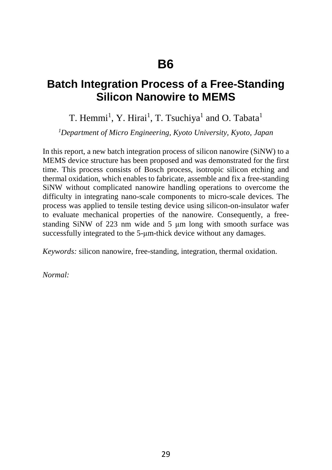#### **Batch Integration Process of a Free-Standing Silicon Nanowire to MEMS**

#### T. Hemmi<sup>1</sup>, Y. Hirai<sup>1</sup>, T. Tsuchiya<sup>1</sup> and O. Tabata<sup>1</sup>

*1 Department of Micro Engineering, Kyoto University, Kyoto, Japan*

In this report, a new batch integration process of silicon nanowire (SiNW) to a MEMS device structure has been proposed and was demonstrated for the first time. This process consists of Bosch process, isotropic silicon etching and thermal oxidation, which enables to fabricate, assemble and fix a free-standing SiNW without complicated nanowire handling operations to overcome the difficulty in integrating nano-scale components to micro-scale devices. The process was applied to tensile testing device using silicon-on-insulator wafer to evaluate mechanical properties of the nanowire. Consequently, a freestanding SiNW of 223 nm wide and 5 μm long with smooth surface was successfully integrated to the 5-μm-thick device without any damages.

*Keywords:* silicon nanowire, free-standing, integration, thermal oxidation.

*Normal:*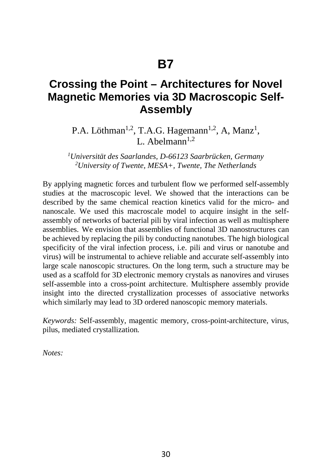#### **Crossing the Point – Architectures for Novel Magnetic Memories via 3D Macroscopic Self-Assembly**

P.A. Löthman<sup>1,2</sup>, T.A.G. Hagemann<sup>1,2</sup>, A, Manz<sup>1</sup>, I  $\Delta$ helmann<sup>1,2</sup>

*1 Universität des Saarlandes, D-66123 Saarbrücken, Germany 2 University of Twente, MESA+, Twente, The Netherlands* 

By applying magnetic forces and turbulent flow we performed self-assembly studies at the macroscopic level. We showed that the interactions can be described by the same chemical reaction kinetics valid for the micro- and nanoscale. We used this macroscale model to acquire insight in the selfassembly of networks of bacterial pili by viral infection as well as multisphere assemblies. We envision that assemblies of functional 3D nanostructures can be achieved by replacing the pili by conducting nanotubes. The high biological specificity of the viral infection process, i.e. pili and virus or nanotube and virus) will be instrumental to achieve reliable and accurate self-assembly into large scale nanoscopic structures. On the long term, such a structure may be used as a scaffold for 3D electronic memory crystals as nanovires and viruses self-assemble into a cross-point architecture. Multisphere assembly provide insight into the directed crystallization processes of associative networks which similarly may lead to 3D ordered nanoscopic memory materials.

*Keywords:* Self-assembly, magentic memory, cross-point-architecture, virus, pilus, mediated crystallization*.*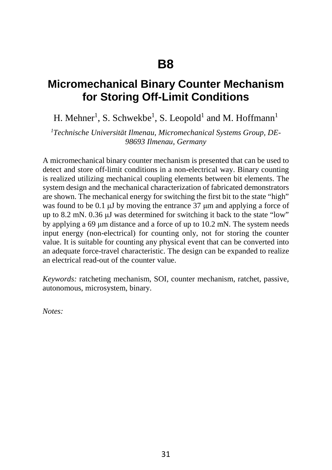#### **Micromechanical Binary Counter Mechanism for Storing Off-Limit Conditions**

H. Mehner<sup>1</sup>, S. Schwekbe<sup>1</sup>, S. Leopold<sup>1</sup> and M. Hoffmann<sup>1</sup>

*1 Technische Universität Ilmenau, Micromechanical Systems Group, DE-98693 Ilmenau, Germany* 

A micromechanical binary counter mechanism is presented that can be used to detect and store off-limit conditions in a non-electrical way. Binary counting is realized utilizing mechanical coupling elements between bit elements. The system design and the mechanical characterization of fabricated demonstrators are shown. The mechanical energy for switching the first bit to the state "high" was found to be 0.1 μJ by moving the entrance 37 μm and applying a force of up to 8.2 mN. 0.36 μJ was determined for switching it back to the state "low" by applying a 69 μm distance and a force of up to 10.2 mN. The system needs input energy (non-electrical) for counting only, not for storing the counter value. It is suitable for counting any physical event that can be converted into an adequate force-travel characteristic. The design can be expanded to realize an electrical read-out of the counter value.

*Keywords:* ratcheting mechanism, SOI, counter mechanism, ratchet, passive, autonomous, microsystem, binary.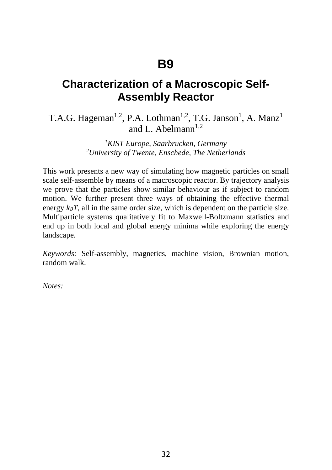#### **Characterization of a Macroscopic Self-Assembly Reactor**

T.A.G. Hageman<sup>1,2</sup>, P.A. Lothman<sup>1,2</sup>, T.G. Janson<sup>1</sup>, A. Manz<sup>1</sup> and L. Abelmann<sup>1,2</sup>

> *1 KIST Europe, Saarbrucken, Germany 2 University of Twente, Enschede, The Netherlands*

This work presents a new way of simulating how magnetic particles on small scale self-assemble by means of a macroscopic reactor. By trajectory analysis we prove that the particles show similar behaviour as if subject to random motion. We further present three ways of obtaining the effective thermal energy  $k_BT$ , all in the same order size, which is dependent on the particle size. Multiparticle systems qualitatively fit to Maxwell-Boltzmann statistics and end up in both local and global energy minima while exploring the energy landscape.

*Keywords:* Self-assembly, magnetics, machine vision, Brownian motion, random walk.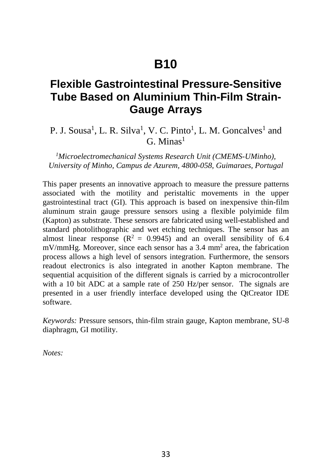### **B10**

#### **Flexible Gastrointestinal Pressure-Sensitive Tube Based on Aluminium Thin-Film Strain-Gauge Arrays**

#### P. J. Sousa<sup>1</sup>, L. R. Silva<sup>1</sup>, V. C. Pinto<sup>1</sup>, L. M. Goncalves<sup>1</sup> and  $G$  Minas<sup>1</sup>

*1 Microelectromechanical Systems Research Unit (CMEMS-UMinho), University of Minho, Campus de Azurem, 4800-058, Guimaraes, Portugal*

This paper presents an innovative approach to measure the pressure patterns associated with the motility and peristaltic movements in the upper gastrointestinal tract (GI). This approach is based on inexpensive thin-film aluminum strain gauge pressure sensors using a flexible polyimide film (Kapton) as substrate. These sensors are fabricated using well-established and standard photolithographic and wet etching techniques. The sensor has an almost linear response  $(R^2 = 0.9945)$  and an overall sensibility of 6.4 mV/mmHg. Moreover, since each sensor has a 3.4 mm2 area, the fabrication process allows a high level of sensors integration. Furthermore, the sensors readout electronics is also integrated in another Kapton membrane. The sequential acquisition of the different signals is carried by a microcontroller with a 10 bit ADC at a sample rate of 250 Hz/per sensor. The signals are presented in a user friendly interface developed using the QtCreator IDE software.

*Keywords:* Pressure sensors, thin-film strain gauge, Kapton membrane, SU-8 diaphragm, GI motility.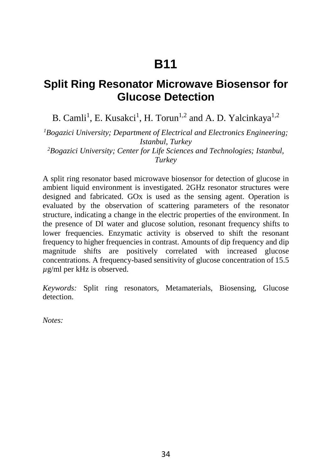## **B11**

#### **Split Ring Resonator Microwave Biosensor for Glucose Detection**

B. Camli<sup>1</sup>, E. Kusakci<sup>1</sup>, H. Torun<sup>1,2</sup> and A. D. Yalcinkaya<sup>1,2</sup>

*1 Bogazici University; Department of Electrical and Electronics Engineering; Istanbul, Turkey 2 Bogazici University; Center for Life Sciences and Technologies; Istanbul, Turkey*

A split ring resonator based microwave biosensor for detection of glucose in ambient liquid environment is investigated. 2GHz resonator structures were designed and fabricated. GOx is used as the sensing agent. Operation is evaluated by the observation of scattering parameters of the resonator structure, indicating a change in the electric properties of the environment. In the presence of DI water and glucose solution, resonant frequency shifts to lower frequencies. Enzymatic activity is observed to shift the resonant frequency to higher frequencies in contrast. Amounts of dip frequency and dip magnitude shifts are positively correlated with increased glucose concentrations. A frequency-based sensitivity of glucose concentration of 15.5 *µ*g/ml per kHz is observed.

*Keywords:* Split ring resonators, Metamaterials, Biosensing, Glucose detection.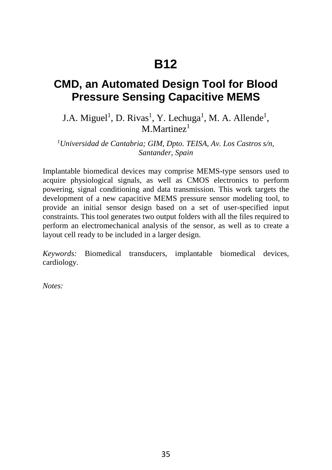# **B12**

#### **CMD, an Automated Design Tool for Blood Pressure Sensing Capacitive MEMS**

J.A. Miguel<sup>1</sup>, D. Rivas<sup>1</sup>, Y. Lechuga<sup>1</sup>, M. A. Allende<sup>1</sup>, M Martinez $1$ 

*1 Universidad de Cantabria; GIM, Dpto. TEISA, Av. Los Castros s/n, Santander, Spain*

Implantable biomedical devices may comprise MEMS-type sensors used to acquire physiological signals, as well as CMOS electronics to perform powering, signal conditioning and data transmission. This work targets the development of a new capacitive MEMS pressure sensor modeling tool, to provide an initial sensor design based on a set of user-specified input constraints. This tool generates two output folders with all the files required to perform an electromechanical analysis of the sensor, as well as to create a layout cell ready to be included in a larger design.

*Keywords:* Biomedical transducers, implantable biomedical devices, cardiology.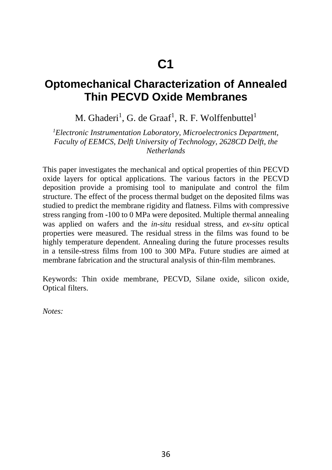#### **Optomechanical Characterization of Annealed Thin PECVD Oxide Membranes**

M. Ghaderi<sup>1</sup>, G. de Graaf<sup>1</sup>, R. F. Wolffenbuttel<sup>1</sup>

*1 Electronic Instrumentation Laboratory, Microelectronics Department, Faculty of EEMCS, Delft University of Technology, 2628CD Delft, the Netherlands* 

This paper investigates the mechanical and optical properties of thin PECVD oxide layers for optical applications. The various factors in the PECVD deposition provide a promising tool to manipulate and control the film structure. The effect of the process thermal budget on the deposited films was studied to predict the membrane rigidity and flatness. Films with compressive stress ranging from -100 to 0 MPa were deposited. Multiple thermal annealing was applied on wafers and the *in-situ* residual stress, and *ex-situ* optical properties were measured. The residual stress in the films was found to be highly temperature dependent. Annealing during the future processes results in a tensile-stress films from 100 to 300 MPa. Future studies are aimed at membrane fabrication and the structural analysis of thin-film membranes.

Keywords: Thin oxide membrane, PECVD, Silane oxide, silicon oxide, Optical filters.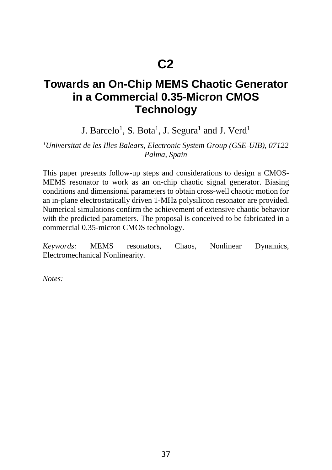# **C2**

#### **Towards an On-Chip MEMS Chaotic Generator in a Commercial 0.35-Micron CMOS Technology**

J. Barcelo $^1$ , S. Bota $^1$ , J. Segura $^1$  and J. Verd $^1$ 

*1 Universitat de les Illes Balears, Electronic System Group (GSE-UIB), 07122 Palma, Spain* 

This paper presents follow-up steps and considerations to design a CMOS-MEMS resonator to work as an on-chip chaotic signal generator. Biasing conditions and dimensional parameters to obtain cross-well chaotic motion for an in-plane electrostatically driven 1-MHz polysilicon resonator are provided. Numerical simulations confirm the achievement of extensive chaotic behavior with the predicted parameters. The proposal is conceived to be fabricated in a commercial 0.35-micron CMOS technology.

*Keywords:* MEMS resonators, Chaos, Nonlinear Dynamics, Electromechanical Nonlinearity*.*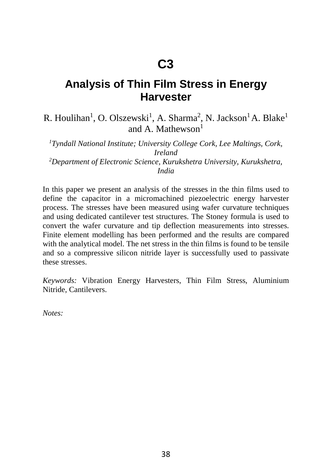#### **Analysis of Thin Film Stress in Energy Harvester**

#### R. Houlihan<sup>1</sup>, O. Olszewski<sup>1</sup>, A. Sharma<sup>2</sup>, N. Jackson<sup>1</sup> A. Blake<sup>1</sup> and A. Mathewson $<sup>1</sup>$ </sup>

*1 Tyndall National Institute; University College Cork, Lee Maltings, Cork, Ireland 2 Department of Electronic Science, Kurukshetra University, Kurukshetra, India*

In this paper we present an analysis of the stresses in the thin films used to define the capacitor in a micromachined piezoelectric energy harvester process. The stresses have been measured using wafer curvature techniques and using dedicated cantilever test structures. The Stoney formula is used to convert the wafer curvature and tip deflection measurements into stresses. Finite element modelling has been performed and the results are compared with the analytical model. The net stress in the thin films is found to be tensile and so a compressive silicon nitride layer is successfully used to passivate these stresses.

*Keywords:* Vibration Energy Harvesters, Thin Film Stress, Aluminium Nitride, Cantilevers.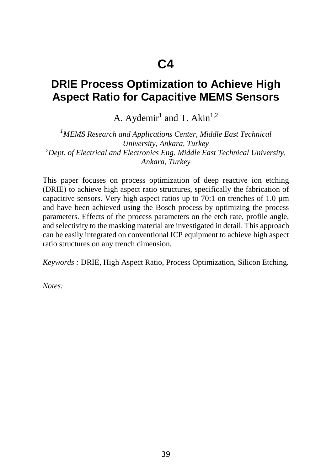#### **DRIE Process Optimization to Achieve High Aspect Ratio for Capacitive MEMS Sensors**

A. Aydemir<sup>1</sup> and T. Akin<sup>1,2</sup>

*1 MEMS Research and Applications Center, Middle East Technical University, Ankara, Turkey 2 Dept. of Electrical and Electronics Eng. Middle East Technical University, Ankara, Turkey*

This paper focuses on process optimization of deep reactive ion etching (DRIE) to achieve high aspect ratio structures, specifically the fabrication of capacitive sensors. Very high aspect ratios up to 70:1 on trenches of 1.0 µm and have been achieved using the Bosch process by optimizing the process parameters. Effects of the process parameters on the etch rate, profile angle, and selectivity to the masking material are investigated in detail. This approach can be easily integrated on conventional ICP equipment to achieve high aspect ratio structures on any trench dimension.

*Keywords :* DRIE, High Aspect Ratio, Process Optimization, Silicon Etching*.*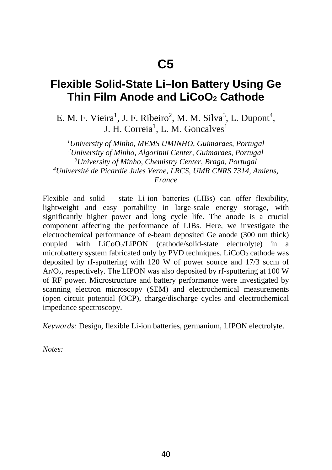#### **Flexible Solid-State Li–Ion Battery Using Ge Thin Film Anode and LiCoO<sub>2</sub> Cathode**

E. M. F. Vieira<sup>1</sup>, J. F. Ribeiro<sup>2</sup>, M. M. Silva<sup>3</sup>, L. Dupont<sup>4</sup>, J. H. Correia<sup>1</sup>, L. M. Goncalves<sup>1</sup>

*1 University of Minho, MEMS UMINHO, Guimaraes, Portugal 2 University of Minho, Algoritmi Center, Guimaraes, Portugal 3 University of Minho, Chemistry Center, Braga, Portugal 4 Université de Picardie Jules Verne, LRCS, UMR CNRS 7314, Amiens, France* 

Flexible and solid – state Li-ion batteries (LIBs) can offer flexibility, lightweight and easy portability in large-scale energy storage, with significantly higher power and long cycle life. The anode is a crucial component affecting the performance of LIBs. Here, we investigate the electrochemical performance of e-beam deposited Ge anode (300 nm thick) coupled with LiCoO2/LiPON (cathode/solid-state electrolyte) in a microbattery system fabricated only by PVD techniques.  $LiCoO<sub>2</sub>$  cathode was deposited by rf-sputtering with 120 W of power source and 17/3 sccm of  $Ar/O<sub>2</sub>$ , respectively. The LIPON was also deposited by rf-sputtering at 100 W of RF power. Microstructure and battery performance were investigated by scanning electron microscopy (SEM) and electrochemical measurements (open circuit potential (OCP), charge/discharge cycles and electrochemical impedance spectroscopy.

*Keywords:* Design, flexible Li-ion batteries, germanium, LIPON electrolyte.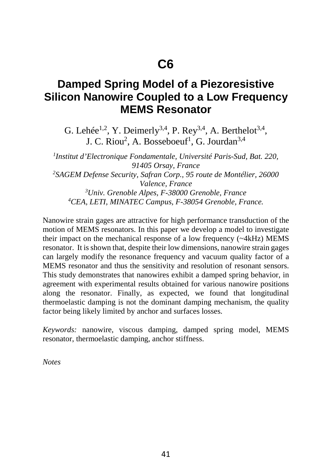#### **Damped Spring Model of a Piezoresistive Silicon Nanowire Coupled to a Low Frequency MEMS Resonator**

G. Lehée<sup>1,2</sup>, Y. Deimerly<sup>3,4</sup>, P. Rey<sup>3,4</sup>, A. Berthelot<sup>3,4</sup>, J. C. Riou<sup>2</sup>, A. Bosseboeuf<sup>1</sup>, G. Jourdan<sup>3,4</sup>

*1 Institut d'Electronique Fondamentale, Université Paris-Sud, Bat. 220, 91405 Orsay, France 2 SAGEM Defense Security, Safran Corp., 95 route de Montélier, 26000 Valence, France*<br><sup>3</sup>*Ilniy Grenoble Alnes, F.38000 C Univ. Grenoble Alpes, F-38000 Grenoble, France 4 CEA, LETI, MINATEC Campus, F-38054 Grenoble, France.*

Nanowire strain gages are attractive for high performance transduction of the motion of MEMS resonators. In this paper we develop a model to investigate their impact on the mechanical response of a low frequency (~4kHz) MEMS resonator. It is shown that, despite their low dimensions, nanowire strain gages can largely modify the resonance frequency and vacuum quality factor of a MEMS resonator and thus the sensitivity and resolution of resonant sensors. This study demonstrates that nanowires exhibit a damped spring behavior, in agreement with experimental results obtained for various nanowire positions along the resonator. Finally, as expected, we found that longitudinal thermoelastic damping is not the dominant damping mechanism, the quality factor being likely limited by anchor and surfaces losses.

*Keywords:* nanowire, viscous damping, damped spring model, MEMS resonator, thermoelastic damping, anchor stiffness.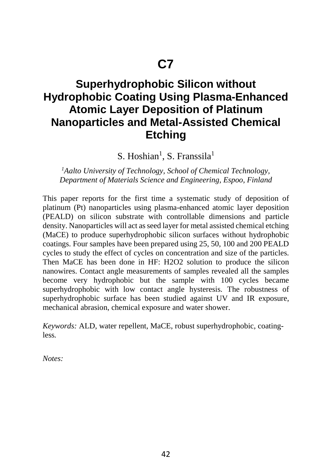### **Superhydrophobic Silicon without Hydrophobic Coating Using Plasma-Enhanced Atomic Layer Deposition of Platinum Nanoparticles and Metal-Assisted Chemical Etching**

S. Hoshian<sup>1</sup>, S. Franssila<sup>1</sup>

*1 Aalto University of Technology, School of Chemical Technology, Department of Materials Science and Engineering, Espoo, Finland*

This paper reports for the first time a systematic study of deposition of platinum (Pt) nanoparticles using plasma-enhanced atomic layer deposition (PEALD) on silicon substrate with controllable dimensions and particle density. Nanoparticles will act as seed layer for metal assisted chemical etching (MaCE) to produce superhydrophobic silicon surfaces without hydrophobic coatings. Four samples have been prepared using 25, 50, 100 and 200 PEALD cycles to study the effect of cycles on concentration and size of the particles. Then MaCE has been done in HF: H2O2 solution to produce the silicon nanowires. Contact angle measurements of samples revealed all the samples become very hydrophobic but the sample with 100 cycles became superhydrophobic with low contact angle hysteresis. The robustness of superhydrophobic surface has been studied against UV and IR exposure, mechanical abrasion, chemical exposure and water shower.

*Keywords:* ALD, water repellent, MaCE, robust superhydrophobic, coatingless*.*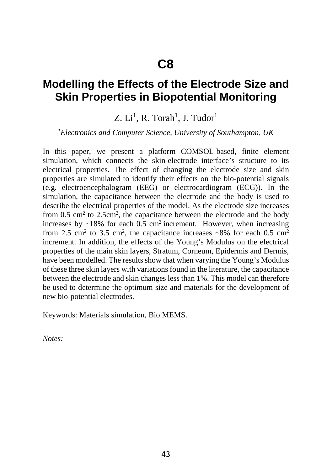#### **Modelling the Effects of the Electrode Size and Skin Properties in Biopotential Monitoring**

#### Z. Li<sup>1</sup>, R. Torah<sup>1</sup>, J. Tudor<sup>1</sup>

#### *1 Electronics and Computer Science, University of Southampton, UK*

In this paper, we present a platform COMSOL-based, finite element simulation, which connects the skin-electrode interface's structure to its electrical properties. The effect of changing the electrode size and skin properties are simulated to identify their effects on the bio-potential signals (e.g. electroencephalogram (EEG) or electrocardiogram (ECG)). In the simulation, the capacitance between the electrode and the body is used to describe the electrical properties of the model. As the electrode size increases from  $0.5 \text{ cm}^2$  to  $2.5 \text{ cm}^2$ , the capacitance between the electrode and the body increases by  $\sim$ 18% for each 0.5 cm<sup>2</sup> increment. However, when increasing from 2.5 cm<sup>2</sup> to 3.5 cm<sup>2</sup>, the capacitance increases  $\sim$ 8% for each 0.5 cm<sup>2</sup> increment. In addition, the effects of the Young's Modulus on the electrical properties of the main skin layers, Stratum, Corneum, Epidermis and Dermis, have been modelled. The results show that when varying the Young's Modulus of these three skin layers with variations found in the literature, the capacitance between the electrode and skin changes less than 1%. This model can therefore be used to determine the optimum size and materials for the development of new bio-potential electrodes.

Keywords: Materials simulation, Bio MEMS.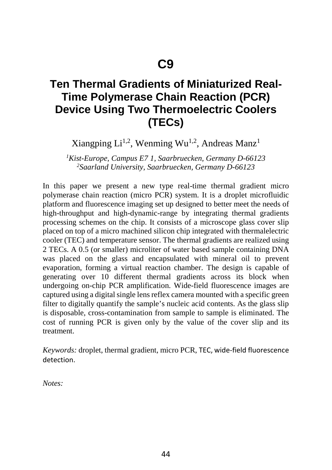### **Ten Thermal Gradients of Miniaturized Real-Time Polymerase Chain Reaction (PCR) Device Using Two Thermoelectric Coolers (TECs)**

#### Xiangping  $Li^{1,2}$ , Wenming Wu<sup>1,2</sup>, Andreas Manz<sup>1</sup>

*1 Kist-Europe, Campus E7 1, Saarbruecken, Germany D-66123 2 Saarland University, Saarbruecken, Germany D-66123*

In this paper we present a new type real-time thermal gradient micro polymerase chain reaction (micro PCR) system. It is a droplet microfluidic platform and fluorescence imaging set up designed to better meet the needs of high-throughput and high-dynamic-range by integrating thermal gradients processing schemes on the chip. It consists of a microscope glass cover slip placed on top of a micro machined silicon chip integrated with thermalelectric cooler (TEC) and temperature sensor. The thermal gradients are realized using 2 TECs. A 0.5 (or smaller) microliter of water based sample containing DNA was placed on the glass and encapsulated with mineral oil to prevent evaporation, forming a virtual reaction chamber. The design is capable of generating over 10 different thermal gradients across its block when undergoing on-chip PCR amplification. Wide-field fluorescence images are captured using a digital single lens reflex camera mounted with a specific green filter to digitally quantify the sample's nucleic acid contents. As the glass slip is disposable, cross-contamination from sample to sample is eliminated. The cost of running PCR is given only by the value of the cover slip and its treatment.

*Keywords:* droplet, thermal gradient, micro PCR, TEC, wide-field fluorescence detection.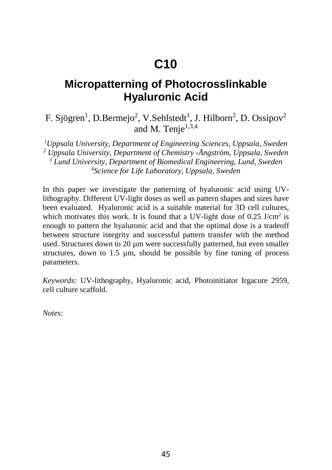# **C10**

#### **Micropatterning of Photocrosslinkable Hyaluronic Acid**

#### F. Sjögren<sup>1</sup>, D.Bermejo<sup>2</sup>, V.Sehlstedt<sup>1</sup>, J. Hilborn<sup>2</sup>, D. Ossipov<sup>2</sup> and M. Tenje $1,3,4$

<sup>1</sup>Uppsala University, Department of Engineering Sciences, Uppsala, Sweden *<sup>2</sup> Uppsala University, Department of Chemistry -Ångström, Uppsala, Sweden 3 Lund University, Department of Biomedical Engineering, Lund, Sweden 4 Science for Life Laboratory, Uppsala, Sweden* 

In this paper we investigate the patterning of hyaluronic acid using UVlithography. Different UV-light doses as well as pattern shapes and sizes have been evaluated. Hyaluronic acid is a suitable material for 3D cell cultures, which motivates this work. It is found that a UV-light dose of  $0.25$  J/cm<sup>2</sup> is enough to pattern the hyaluronic acid and that the optimal dose is a tradeoff between structure integrity and successful pattern transfer with the method used. Structures down to 20 µm were successfully patterned, but even smaller structures, down to 1.5 µm, should be possible by fine tuning of process parameters.

*Keywords:* UV-lithography, Hyaluronic acid, Photoinitiator Irgacure 2959, cell culture scaffold.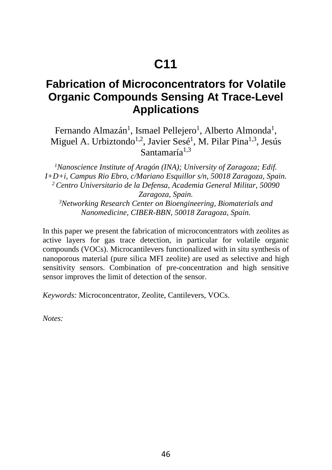#### **Fabrication of Microconcentrators for Volatile Organic Compounds Sensing At Trace-Level Applications**

Fernando Almazán<sup>1</sup>, Ismael Pellejero<sup>1</sup>, Alberto Almonda<sup>1</sup>, Miguel A. Urbiztondo<sup>1,2</sup>, Javier Sesé<sup>1</sup>, M. Pilar Pina<sup>1,3</sup>, Jesús Santamaría $1,3$ 

*1 Nanoscience Institute of Aragón (INA); University of Zaragoza; Edif. I+D+i, Campus Rio Ebro, c/Mariano Esquillor s/n, 50018 Zaragoza, Spain. 2 Centro Universitario de la Defensa, Academia General Militar, 50090 Zaragoza, Spain. 3 Networking Research Center on Bioengineering, Biomaterials and* 

*Nanomedicine, CIBER-BBN, 50018 Zaragoza, Spain.* 

In this paper we present the fabrication of microconcentrators with zeolites as active layers for gas trace detection, in particular for volatile organic compounds (VOCs). Microcantilevers functionalized with in situ synthesis of nanoporous material (pure silica MFI zeolite) are used as selective and high sensitivity sensors. Combination of pre-concentration and high sensitive sensor improves the limit of detection of the sensor.

*Keywords:* Microconcentrator, Zeolite, Cantilevers, VOCs.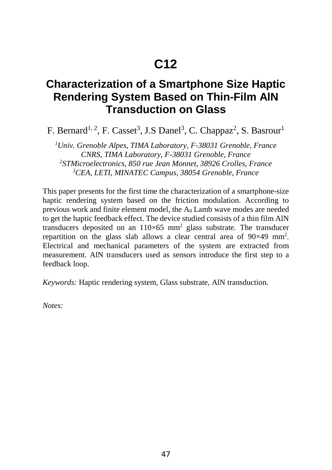# **C12**

#### **Characterization of a Smartphone Size Haptic Rendering System Based on Thin-Film AlN Transduction on Glass**

F. Bernard<sup>1, 2</sup>, F. Casset<sup>3</sup>, J.S Danel<sup>3</sup>, C. Chappaz<sup>2</sup>, S. Basrour<sup>1</sup>

*1 Univ. Grenoble Alpes, TIMA Laboratory, F-38031 Grenoble, France CNRS, TIMA Laboratory, F-38031 Grenoble, France 2 STMicroelectronics, 850 rue Jean Monnet, 38926 Crolles, France 3 CEA, LETI, MINATEC Campus, 38054 Grenoble, France* 

This paper presents for the first time the characterization of a smartphone-size haptic rendering system based on the friction modulation. According to previous work and finite element model, the  $A_0$  Lamb wave modes are needed to get the haptic feedback effect. The device studied consists of a thin film AlN transducers deposited on an  $110\times65$  mm<sup>2</sup> glass substrate. The transducer repartition on the glass slab allows a clear central area of  $90\times49$  mm<sup>2</sup>. Electrical and mechanical parameters of the system are extracted from measurement. AlN transducers used as sensors introduce the first step to a feedback loop.

*Keywords:* Haptic rendering system, Glass substrate, AlN transduction*.*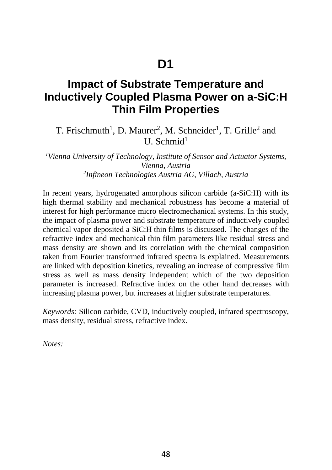#### **Impact of Substrate Temperature and Inductively Coupled Plasma Power on a-SiC:H Thin Film Properties**

T. Frischmuth<sup>1</sup>, D. Maurer<sup>2</sup>, M. Schneider<sup>1</sup>, T. Grille<sup>2</sup> and  $U$ . Schmid<sup>1</sup>

*1 Vienna University of Technology, Institute of Sensor and Actuator Systems, Vienna, Austria 2 Infineon Technologies Austria AG, Villach, Austria* 

In recent years, hydrogenated amorphous silicon carbide (a-SiC:H) with its high thermal stability and mechanical robustness has become a material of interest for high performance micro electromechanical systems. In this study, the impact of plasma power and substrate temperature of inductively coupled chemical vapor deposited a-SiC:H thin films is discussed. The changes of the refractive index and mechanical thin film parameters like residual stress and mass density are shown and its correlation with the chemical composition taken from Fourier transformed infrared spectra is explained. Measurements are linked with deposition kinetics, revealing an increase of compressive film stress as well as mass density independent which of the two deposition parameter is increased. Refractive index on the other hand decreases with increasing plasma power, but increases at higher substrate temperatures.

*Keywords:* Silicon carbide, CVD, inductively coupled, infrared spectroscopy, mass density, residual stress, refractive index.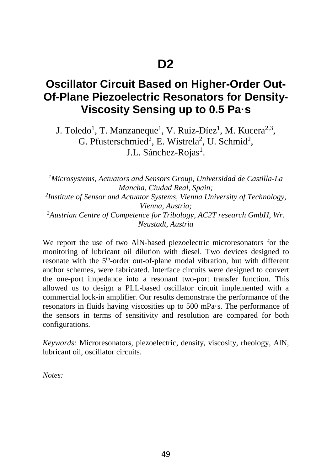#### **Oscillator Circuit Based on Higher-Order Out-Of-Plane Piezoelectric Resonators for Density-Viscosity Sensing up to 0.5 Pa·s**

J. Toledo<sup>1</sup>, T. Manzaneque<sup>1</sup>, V. Ruiz-Díez<sup>1</sup>, M. Kucera<sup>2,3</sup>, G. Pfusterschmied<sup>2</sup>, E. Wistrela<sup>2</sup>, U. Schmid<sup>2</sup>, J.L. Sánchez-Rojas<sup>1</sup>.

*1 Microsystems, Actuators and Sensors Group, Universidad de Castilla-La Mancha, Ciudad Real, Spain; 2 Institute of Sensor and Actuator Systems, Vienna University of Technology, Vienna, Austria; 3 Austrian Centre of Competence for Tribology, AC2T research GmbH, Wr. Neustadt, Austria* 

We report the use of two AlN-based piezoelectric microresonators for the monitoring of lubricant oil dilution with diesel. Two devices designed to resonate with the 5<sup>th</sup>-order out-of-plane modal vibration, but with different anchor schemes, were fabricated. Interface circuits were designed to convert the one-port impedance into a resonant two-port transfer function. This allowed us to design a PLL-based oscillator circuit implemented with a commercial lock-in amplifier. Our results demonstrate the performance of the resonators in fluids having viscosities up to 500 mPa·s. The performance of the sensors in terms of sensitivity and resolution are compared for both configurations.

*Keywords:* Microresonators, piezoelectric, density, viscosity, rheology, AlN, lubricant oil, oscillator circuits.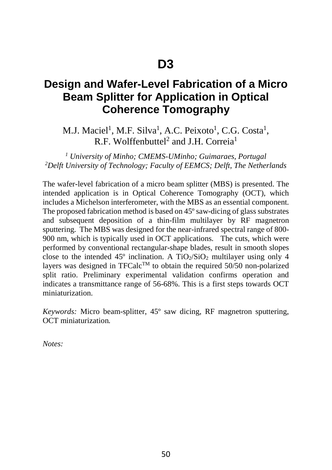#### **Design and Wafer-Level Fabrication of a Micro Beam Splitter for Application in Optical Coherence Tomography**

M.J. Maciel<sup>1</sup>, M.F. Silva<sup>1</sup>, A.C. Peixoto<sup>1</sup>, C.G. Costa<sup>1</sup>, R.F. Wolffenbuttel<sup>2</sup> and I.H. Correia<sup>1</sup>

<sup>1</sup> *University of Minho; CMEMS-UMinho; Guimaraes, Portugal Delft University of Technology; Faculty of EEMCS; Delft, The Netherlands* 

The wafer-level fabrication of a micro beam splitter (MBS) is presented. The intended application is in Optical Coherence Tomography (OCT), which includes a Michelson interferometer, with the MBS as an essential component. The proposed fabrication method is based on 45º saw-dicing of glass substrates and subsequent deposition of a thin-film multilayer by RF magnetron sputtering. The MBS was designed for the near-infrared spectral range of 800- 900 nm, which is typically used in OCT applications. The cuts, which were performed by conventional rectangular-shape blades, result in smooth slopes close to the intended  $45^{\circ}$  inclination. A TiO<sub>2</sub>/SiO<sub>2</sub> multilayer using only 4 layers was designed in TFCalc<sup>TM</sup> to obtain the required 50/50 non-polarized split ratio. Preliminary experimental validation confirms operation and indicates a transmittance range of 56-68%. This is a first steps towards OCT miniaturization.

*Keywords:* Micro beam-splitter, 45º saw dicing, RF magnetron sputtering, OCT miniaturization*.*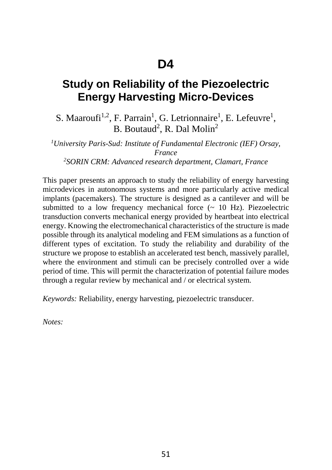#### **Study on Reliability of the Piezoelectric Energy Harvesting Micro-Devices**

S. Maaroufi<sup>1,2</sup>, F. Parrain<sup>1</sup>, G. Letrionnaire<sup>1</sup>, E. Lefeuvre<sup>1</sup>,  $B.$  Boutaud<sup>2</sup>, R. Dal Molin<sup>2</sup>

*1 University Paris-Sud: Institute of Fundamental Electronic (IEF) Orsay, France 2 SORIN CRM: Advanced research department, Clamart, France* 

This paper presents an approach to study the reliability of energy harvesting microdevices in autonomous systems and more particularly active medical implants (pacemakers). The structure is designed as a cantilever and will be submitted to a low frequency mechanical force  $(\sim 10 \text{ Hz})$ . Piezoelectric transduction converts mechanical energy provided by heartbeat into electrical energy. Knowing the electromechanical characteristics of the structure is made possible through its analytical modeling and FEM simulations as a function of different types of excitation. To study the reliability and durability of the structure we propose to establish an accelerated test bench, massively parallel, where the environment and stimuli can be precisely controlled over a wide period of time. This will permit the characterization of potential failure modes through a regular review by mechanical and / or electrical system.

*Keywords:* Reliability, energy harvesting, piezoelectric transducer.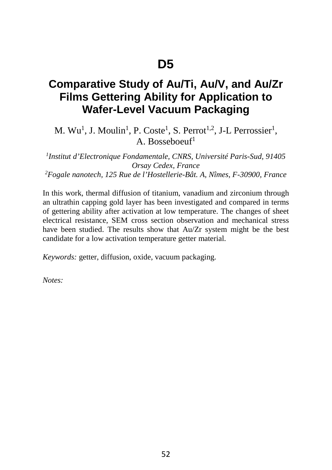#### **Comparative Study of Au/Ti, Au/V, and Au/Zr Films Gettering Ability for Application to Wafer-Level Vacuum Packaging**

M.  $Wu^1$ , J. Moulin<sup>1</sup>, P. Coste<sup>1</sup>, S. Perrot<sup>1,2</sup>, J-L Perrossier<sup>1</sup>, A. Bosseboeuf1

*1 Institut d'Electronique Fondamentale, CNRS, Université Paris-Sud, 91405 Orsay Cedex, France 2 Fogale nanotech, 125 Rue de l'Hostellerie-Bât. A, Nîmes, F-30900, France*

In this work, thermal diffusion of titanium, vanadium and zirconium through an ultrathin capping gold layer has been investigated and compared in terms of gettering ability after activation at low temperature. The changes of sheet electrical resistance, SEM cross section observation and mechanical stress have been studied. The results show that Au/Zr system might be the best candidate for a low activation temperature getter material.

*Keywords:* getter, diffusion, oxide, vacuum packaging.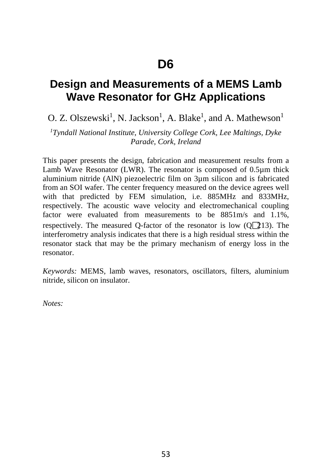#### **Design and Measurements of a MEMS Lamb Wave Resonator for GHz Applications**

 $O. Z. Olszewski<sup>1</sup>, N. Jackson<sup>1</sup>, A. Blake<sup>1</sup>, and A. Mathewson<sup>1</sup>$ 

*1 Tyndall National Institute, University College Cork, Lee Maltings, Dyke Parade, Cork, Ireland* 

This paper presents the design, fabrication and measurement results from a Lamb Wave Resonator (LWR). The resonator is composed of 0.5µm thick aluminium nitride (AlN) piezoelectric film on 3µm silicon and is fabricated from an SOI wafer. The center frequency measured on the device agrees well with that predicted by FEM simulation, i.e. 885MHz and 833MHz, respectively. The acoustic wave velocity and electromechanical coupling factor were evaluated from measurements to be 8851m/s and 1.1%, respectively. The measured Q-factor of the resonator is low  $(Q_1\{13})$ . The interferometry analysis indicates that there is a high residual stress within the resonator stack that may be the primary mechanism of energy loss in the resonator.

*Keywords:* MEMS, lamb waves, resonators, oscillators, filters, aluminium nitride, silicon on insulator.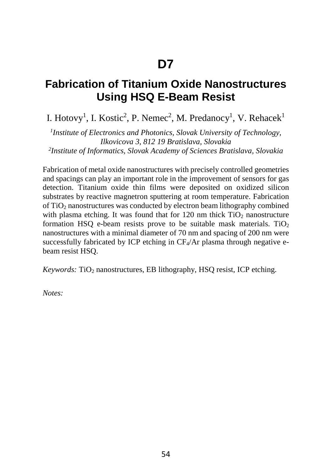#### **Fabrication of Titanium Oxide Nanostructures Using HSQ E-Beam Resist**

I. Hotovy<sup>1</sup>, I. Kostic<sup>2</sup>, P. Nemec<sup>2</sup>, M. Predanocy<sup>1</sup>, V. Rehacek<sup>1</sup>

*1 Institute of Electronics and Photonics, Slovak University of Technology, Ilkovicova 3, 812 19 Bratislava, Slovakia 2 Institute of Informatics, Slovak Academy of Sciences Bratislava, Slovakia* 

Fabrication of metal oxide nanostructures with precisely controlled geometries and spacings can play an important role in the improvement of sensors for gas detection. Titanium oxide thin films were deposited on oxidized silicon substrates by reactive magnetron sputtering at room temperature. Fabrication of TiO2 nanostructures was conducted by electron beam lithography combined with plasma etching. It was found that for  $120 \text{ nm}$  thick  $TiO<sub>2</sub>$  nanostructure formation HSQ e-beam resists prove to be suitable mask materials.  $TiO<sub>2</sub>$ nanostructures with a minimal diameter of 70 nm and spacing of 200 nm were successfully fabricated by ICP etching in  $CF_4/Ar$  plasma through negative ebeam resist HSQ.

*Keywords:* TiO<sub>2</sub> nanostructures, EB lithography, HSQ resist, ICP etching.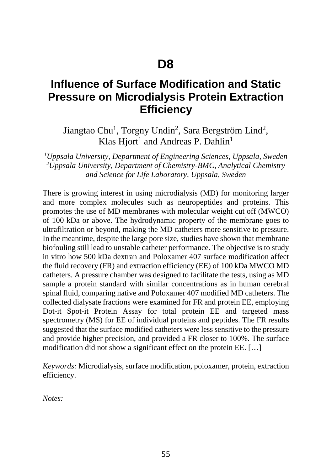#### **Influence of Surface Modification and Static Pressure on Microdialysis Protein Extraction Efficiency**

Jiangtao Chu<sup>1</sup>, Torgny Undin<sup>2</sup>, Sara Bergström Lind<sup>2</sup>, Klas Hiort<sup>1</sup> and Andreas P. Dahlin<sup>1</sup>

<sup>1</sup>Uppsala University, Department of Engineering Sciences, Uppsala, Sweden *2 Uppsala University, Department of Chemistry-BMC, Analytical Chemistry and Science for Life Laboratory, Uppsala, Sweden* 

There is growing interest in using microdialysis (MD) for monitoring larger and more complex molecules such as neuropeptides and proteins. This promotes the use of MD membranes with molecular weight cut off (MWCO) of 100 kDa or above. The hydrodynamic property of the membrane goes to ultrafiltration or beyond, making the MD catheters more sensitive to pressure. In the meantime, despite the large pore size, studies have shown that membrane biofouling still lead to unstable catheter performance. The objective is to study in vitro how 500 kDa dextran and Poloxamer 407 surface modification affect the fluid recovery (FR) and extraction efficiency (EE) of 100 kDa MWCO MD catheters. A pressure chamber was designed to facilitate the tests, using as MD sample a protein standard with similar concentrations as in human cerebral spinal fluid, comparing native and Poloxamer 407 modified MD catheters. The collected dialysate fractions were examined for FR and protein EE, employing Dot-it Spot-it Protein Assay for total protein EE and targeted mass spectrometry (MS) for EE of individual proteins and peptides. The FR results suggested that the surface modified catheters were less sensitive to the pressure and provide higher precision, and provided a FR closer to 100%. The surface modification did not show a significant effect on the protein EE. […]

*Keywords:* Microdialysis, surface modification, poloxamer, protein, extraction efficiency.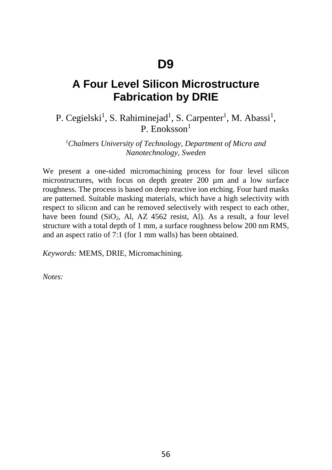#### **A Four Level Silicon Microstructure Fabrication by DRIE**

#### P. Cegielski<sup>1</sup>, S. Rahiminejad<sup>1</sup>, S. Carpenter<sup>1</sup>, M. Abassi<sup>1</sup>, P. Enoksson $<sup>1</sup>$ </sup>

*1 Chalmers University of Technology, Department of Micro and Nanotechnology, Sweden*

We present a one-sided micromachining process for four level silicon microstructures, with focus on depth greater 200 µm and a low surface roughness. The process is based on deep reactive ion etching. Four hard masks are patterned. Suitable masking materials, which have a high selectivity with respect to silicon and can be removed selectively with respect to each other, have been found  $(SiO<sub>2</sub>, Al, AZ 4562$  resist, Al). As a result, a four level structure with a total depth of 1 mm, a surface roughness below 200 nm RMS, and an aspect ratio of 7:1 (for 1 mm walls) has been obtained.

*Keywords:* MEMS, DRIE, Micromachining.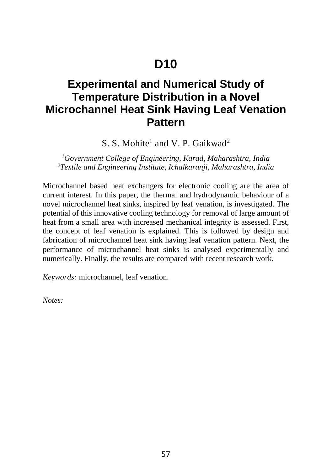# **D10**

### **Experimental and Numerical Study of Temperature Distribution in a Novel Microchannel Heat Sink Having Leaf Venation Pattern**

S. S. Mohite<sup>1</sup> and V. P. Gaikwad<sup>2</sup>

*1 Government College of Engineering, Karad, Maharashtra, India 2 Textile and Engineering Institute, Ichalkaranji, Maharashtra, India* 

Microchannel based heat exchangers for electronic cooling are the area of current interest. In this paper, the thermal and hydrodynamic behaviour of a novel microchannel heat sinks, inspired by leaf venation, is investigated. The potential of this innovative cooling technology for removal of large amount of heat from a small area with increased mechanical integrity is assessed. First, the concept of leaf venation is explained. This is followed by design and fabrication of microchannel heat sink having leaf venation pattern. Next, the performance of microchannel heat sinks is analysed experimentally and numerically. Finally, the results are compared with recent research work.

*Keywords:* microchannel, leaf venation.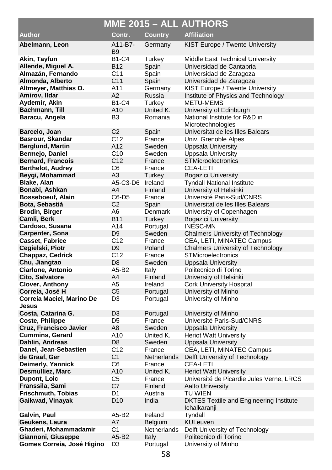|                                    |                 |                      | <b>MME 2015 - ALL AUTHORS</b>                                  |
|------------------------------------|-----------------|----------------------|----------------------------------------------------------------|
| <b>Author</b>                      | Contr.          | <b>Country</b>       | <b>Affiliation</b>                                             |
| Abelmann, Leon                     | A11-B7-         | Germany              | KIST Europe / Twente University                                |
|                                    | B <sub>9</sub>  |                      |                                                                |
| Akin, Tayfun                       | <b>B1-C4</b>    | Turkey               | Middle East Technical University                               |
| Allende, Miguel A.                 | <b>B12</b>      | Spain                | Universidad de Cantabria                                       |
| Almazán, Fernando                  | C <sub>11</sub> | Spain                | Universidad de Zaragoza                                        |
| Almonda, Alberto                   | C <sub>11</sub> | Spain                | Universidad de Zaragoza                                        |
| Altmeyer, Matthias O.              | A11             | Germany              | KIST Europe / Twente University                                |
| Amirov, Ildar                      | A2              | Russia               | Institute of Physics and Technology                            |
| Aydemir, Akin                      | <b>B1-C4</b>    | Turkey               | <b>METU-MEMS</b>                                               |
| Bachmann, Till                     | A10             | United K.            | University of Edinburgh                                        |
| Baracu, Angela                     | B <sub>3</sub>  | Romania              | National Institute for R&D in<br>Microtechnologies             |
| Barcelo, Joan                      | C <sub>2</sub>  | Spain                | Universitat de les Illes Balears                               |
| Basrour, Skandar                   | C12             | France               | Univ. Grenoble Alpes                                           |
| <b>Berglund, Martin</b>            | A12             | Sweden               | <b>Uppsala University</b>                                      |
| Bermejo, Daniel                    | C10             | Sweden               | Uppsala University                                             |
| <b>Bernard, Francois</b>           | C <sub>12</sub> | France               | <b>STMicroelectronics</b>                                      |
| <b>Berthelot, Audrey</b>           | C6              | France               | CEA-LETI                                                       |
| Beygi, Mohammad                    | A3              | Turkey               | <b>Bogazici University</b>                                     |
| <b>Blake, Alan</b>                 | A5-C3-D6        | Ireland              | <b>Tyndall National Institute</b>                              |
| Bonabi, Ashkan                     | A4              | Finland              | University of Helsinki                                         |
| Bosseboeuf, Alain                  | C6-D5           | France               | Université Paris-Sud/CNRS                                      |
| Bota, Sebastià                     | C2              | Spain                | Universitat de les Illes Balears                               |
| <b>Brodin, Birger</b>              | A6              | <b>Denmark</b>       | University of Copenhagen                                       |
| Camli, Berk                        | <b>B11</b>      | Turkey               | <b>Bogazici University</b>                                     |
| Cardoso, Susana                    | A14             | Portugal             | <b>INESC-MN</b>                                                |
| Carpenter, Sona                    | D9              | Sweden               | <b>Chalmers University of Technology</b>                       |
| <b>Casset, Fabrice</b>             | C <sub>12</sub> | France               | CEA, LETI, MINATEC Campus                                      |
| Cegielski, Piotr                   | D9              | Poland               | <b>Chalmers University of Technology</b>                       |
| Chappaz, Cedrick                   | C <sub>12</sub> | France               | <b>STMicroelectronics</b>                                      |
| Chu, Jiangtao                      | D <sub>8</sub>  | Sweden               | <b>Uppsala University</b>                                      |
| Ciarlone, Antonio                  | A5-B2           | Italy                | Politecnico di Torino                                          |
| Cito, Salvatore                    | A4<br>A5        | Finland              | University of Helsinki                                         |
| Clover, Anthony<br>Correia, José H | C <sub>5</sub>  | Ireland              | Cork University Hospital<br>University of Minho                |
| Correia Maciel, Marino De          | D <sub>3</sub>  | Portugal<br>Portugal | University of Minho                                            |
| Jesus                              |                 |                      |                                                                |
| Costa, Catarina G.                 | D3              | Portugal             | University of Minho                                            |
| <b>Coste, Philippe</b>             | D5              | France               | Université Paris-Sud/CNRS                                      |
| Cruz, Francisco Javier             | A8              | Sweden               | <b>Uppsala University</b>                                      |
| <b>Cummins, Gerard</b>             | A10             | United K.            | <b>Heriot Watt University</b>                                  |
| Dahlin, Andreas                    | D8              | Sweden               | Uppsala University                                             |
| Danel, Jean-Sebastien              | C <sub>12</sub> | France               | CEA, LETI, MINATEC Campus                                      |
| de Graaf, Ger                      | C <sub>1</sub>  | <b>Netherlands</b>   | Delft University of Technology                                 |
| Deimerly, Yannick                  | C6              | France               | CEA-LETI                                                       |
| Desmulliez, Marc                   | A10             | United K.            | <b>Heriot Watt University</b>                                  |
| Dupont, Loic                       | C5              | France               | Université de Picardie Jules Verne, LRCS                       |
| Franssila, Sami                    | C7              | Finland              | <b>Aalto University</b>                                        |
| Frischmuth, Tobias                 | D1              | Austria              | <b>TU WIEN</b>                                                 |
| Gaikwad, Vinayak                   | D <sub>10</sub> | India                | <b>DKTES Textile and Engineering Institute</b><br>Ichalkaranji |
| Galvin, Paul                       | A5-B2           | Ireland              | Tyndall                                                        |
| Geukens, Laura                     | A7              | Belgium              | <b>KULeuven</b>                                                |
| Ghaderi, Mohammadamir              | C1              | Netherlands          | Delft University of Technology                                 |
| Giannoni, Giuseppe                 | A5-B2           | Italy                | Politecnico di Torino                                          |
| Gomes Correia, José Higino         | D <sub>3</sub>  | Portugal             | University of Minho                                            |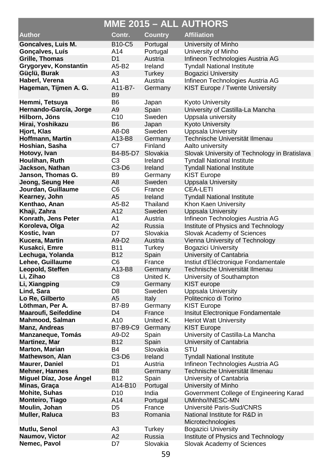|                                      |                           |                      | MME 2015 - ALL AUTHORS                        |
|--------------------------------------|---------------------------|----------------------|-----------------------------------------------|
| Author                               | Contr.                    | <b>Country</b>       | <b>Affiliation</b>                            |
| Goncalves, Luis M.                   | <b>B10-C5</b>             | Portugal             | University of Minho                           |
| Gonçalves, Luís                      | A14                       | Portugal             | University of Minho                           |
| <b>Grille, Thomas</b>                | D1                        | Austria              | Infineon Technologies Austria AG              |
| Grygoryev, Konstantin                | A5-B2                     | Ireland              | <b>Tyndall National Institute</b>             |
| Güçlü, Burak                         | A3                        | Turkey               | <b>Bogazici University</b>                    |
| Haberl, Verena                       | A1                        | Austria              | Infineon Technologies Austria AG              |
| Hageman, Tijmen A. G.                | A11-B7-<br>B <sub>9</sub> | Germany              | KIST Europe / Twente University               |
| Hemmi, Tetsuya                       | B6                        | Japan                | Kyoto University                              |
| Hernando-García, Jorge               | A9                        | Spain                | University of Castilla-La Mancha              |
| Hilborn, Jöns                        | C <sub>10</sub>           | Sweden               | Uppsala university                            |
| Hirai, Yoshikazu                     | B6                        | Japan                | <b>Kyoto University</b>                       |
| Hjort, Klas                          | A8-D8                     | Sweden               | <b>Uppsala University</b>                     |
| Hoffmann, Martin                     | A13-B8                    | Germany              | Technische Universität Ilmenau                |
| Hoshian, Sasha                       | C7                        | Finland              | Aalto university                              |
| Hotovy, Ivan                         | B4-B5-D7                  | Slovakia             | Slovak University of Technology in Bratislava |
| Houlihan, Ruth                       | C <sub>3</sub>            | Ireland              | <b>Tyndall National Institute</b>             |
| Jackson, Nathan                      | $C3-D6$                   | Ireland              | <b>Tyndall National Institute</b>             |
| Janson, Thomas G.                    | B9                        | Germany              | <b>KIST Europe</b>                            |
| Jeong, Seung Hee                     | A8                        | Sweden               | <b>Uppsala University</b>                     |
| Jourdan, Guillaume                   | C6                        | France               | CEA-LETI                                      |
| Kearney, John                        | A5                        | Ireland              | Tyndall National Institute                    |
| Kenthao, Anan                        | $A5-B2$                   | Thailand             | Khon Kaen University                          |
| Khaji, Zahra                         | A12                       | Sweden               | <b>Uppsala University</b>                     |
| Konrath, Jens Peter                  | A1                        | Austria              | Infineon Technologies Austria AG              |
| Koroleva, Olga                       | A2                        | Russia               | Institute of Physics and Technology           |
| Kostic, Ivan                         | D7                        | Slovakia             | Slovak Academy of Sciences                    |
| Kucera, Martin                       | A9-D2                     | Austria              | Vienna University of Technology               |
| Kusakci, Emre                        | <b>B11</b>                | Turkey               | <b>Bogazici University</b>                    |
| Lechuga, Yolanda<br>Lehee, Guillaume | <b>B12</b>                | Spain                | University of Cantabria                       |
|                                      | C6                        | France               | Instiut d'Eléctronique Fondamentale           |
| Leopold, Steffen<br>Li, Zihao        | A13-B8                    | Germany<br>United K. | Technische Universität Ilmenau                |
|                                      | C8                        |                      | University of Southampton<br>KIST europe      |
| Li, Xiangping<br>Lind, Sara          | C9<br>D8                  | Germany<br>Sweden    | <b>Uppsala University</b>                     |
| Lo Re, Gilberto                      | A5                        | Italy                | Politecnico di Torino                         |
| Löthman, Per A.                      | B7-B9                     | Germany              | KIST Europe                                   |
| <b>Maaroufi, Seifeddine</b>          | D4                        | France               | Insitut Electronique Fondamentale             |
| Mahmood, Salman                      | A10                       | United K.            | <b>Heriot Watt University</b>                 |
| Manz, Andreas                        | B7-B9-C9                  | Germany              | KIST Europe                                   |
| Manzaneque, Tomás                    | A9-D2                     | Spain                | University of Castilla-La Mancha              |
| <b>Martinez, Mar</b>                 | B12                       | Spain                | University of Cantabria                       |
| Marton, Marian                       | B4                        | Slovakia             | STU                                           |
| <b>Mathewson, Alan</b>               | $C3-D6$                   | Ireland              | <b>Tyndall National Institute</b>             |
| <b>Maurer, Daniel</b>                | D1                        | Austria              | Infineon Technologies Austria AG              |
| <b>Mehner, Hannes</b>                | B8                        | Germany              | Technische Universität Ilmenau                |
| Miquel Díaz, Jose Ángel              | B12                       | Spain                | University of Cantabria                       |
| Minas, Graça                         | A14-B10                   | Portugal             | University of Minho                           |
| <b>Mohite, Suhas</b>                 | D10                       | India                | Government College of Engineering Karad       |
| Monteiro, Tiago                      | A14                       | Portugal             | UMinho/INESC-MN                               |
| Moulin, Johan                        | D5                        | France               | Université Paris-Sud/CNRS                     |
| Muller, Raluca                       | B <sub>3</sub>            | Romania              | National Institute for R&D in                 |
|                                      |                           |                      | Microtechnologies                             |
| Mutlu, Senol                         | A3                        | Turkey               | <b>Bogazici University</b>                    |
| Naumov, Victor                       | A2                        | Russia               | Institute of Physics and Technology           |
| Nemec, Pavol                         | D7                        | Slovakia             | Slovak Academy of Sciences                    |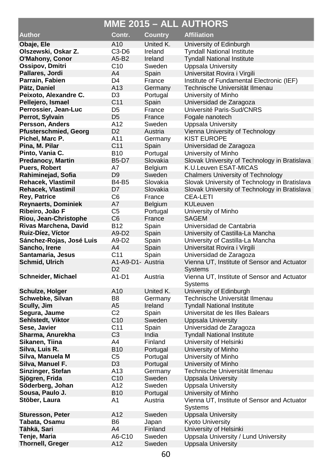|                                               |                      |                            | MME 2015 - ALL AUTHORS                        |
|-----------------------------------------------|----------------------|----------------------------|-----------------------------------------------|
| <b>Author</b>                                 | Contr.               | <b>Country</b>             | <b>Affiliation</b>                            |
| Obaje, Ele                                    | A10                  | United K.                  | University of Edinburgh                       |
| Olszewski, Oskar Z.                           | C3-D6                | Ireland                    | <b>Tyndall National Institute</b>             |
| O'Mahony, Conor                               | A5-B2                | Ireland                    | <b>Tyndall National Institute</b>             |
| Ossipov, Dmitri                               | C <sub>10</sub>      | Sweden                     | <b>Uppsala University</b>                     |
| Pallares, Jordi                               | A4                   | Spain                      | Universitat Rovira i Virgili                  |
| Parrain, Fabien                               | D4                   | France                     | Institute of Fundamental Electronic (IEF)     |
| Pätz, Daniel                                  | A13                  | Germany                    | Technische Universität Ilmenau                |
| Peixoto, Alexandre C.                         | D3                   | Portugal                   | University of Minho                           |
| Pellejero, Ismael                             | C <sub>11</sub>      | Spain                      | Universidad de Zaragoza                       |
| Perrossier, Jean-Luc                          | D5                   | France                     | Université Paris-Sud/CNRS                     |
| Perrot, Sylvain                               | D <sub>5</sub>       | France                     | Fogale nanotech                               |
| Persson, Anders                               | A12                  | Sweden                     | <b>Uppsala University</b>                     |
| Pfusterschmied, Georg                         | D <sub>2</sub>       | Austria                    | Vienna University of Technology               |
| Pichel, Marc P.                               | A11                  | Germany                    | <b>KIST EUROPE</b>                            |
| Pina, M. Pilar                                | C <sub>11</sub>      | Spain                      | Universidad de Zaragoza                       |
| Pinto, Vania C.                               | B10                  | Portugal                   | University of Minho                           |
| <b>Predanocy, Martin</b>                      | B5-D7                | Slovakia                   | Slovak University of Technology in Bratislava |
| Puers, Robert                                 | Α7                   | Belgium                    | K.U.Leuven ESAT-MICAS                         |
| Rahiminejad, Sofia                            | D <sub>9</sub>       | Sweden                     | Chalmers University of Technology             |
| Rehacek, Vlastimil                            | <b>B4-B5</b>         | Slovakia                   | Slovak University of Technology in Bratislava |
| Rehacek, Vlastimil                            | D7                   | Slovakia                   | Slovak University of Technology in Bratislava |
| <b>Rey, Patrice</b>                           | C6                   | France                     | <b>CEA-LETI</b>                               |
| <b>Reynaerts, Dominiek</b><br>Ribeiro, João F | A7<br>C5             | <b>Belgium</b><br>Portugal | <b>KULeuven</b><br>University of Minho        |
| Riou, Jean-Christophe                         | C6                   | France                     | <b>SAGEM</b>                                  |
| Rivas Marchena, David                         | B12                  | Spain                      | Universidad de Cantabria                      |
| Ruiz-Díez, Víctor                             | A9-D2                | Spain                      | University of Castilla-La Mancha              |
| Sánchez-Rojas, José Luis                      | A9-D2                | Spain                      | University of Castilla-La Mancha              |
| Sancho, Irene                                 | A4                   | Spain                      | Universitat Rovira i Virgili                  |
| Santamaria, Jesus                             | C11                  | Spain                      | Universidad de Zaragoza                       |
| Schmid, Ulrich                                | A1-A9-D1- Austria    |                            | Vienna UT, Institute of Sensor and Actuator   |
|                                               | D <sub>2</sub>       |                            | Systems                                       |
| Schneider, Michael                            | A1-D1                | Austria                    | Vienna UT, Institute of Sensor and Actuator   |
|                                               |                      |                            | Systems                                       |
| Schulze, Holger                               | A10                  | United K.                  | University of Edinburgh                       |
| Schwebke, Silvan                              | B8                   | Germany                    | Technische Universität Ilmenau                |
| Scully, Jim                                   | A5<br>C <sub>2</sub> | Ireland                    | <b>Tyndall National Institute</b>             |
| Segura, Jaume<br>Sehlstedt, Viktor            | C10                  | Spain<br>Sweden            | Universitat de les Illes Balears              |
| Sese, Javier                                  | C11                  | Spain                      | Uppsala University<br>Universidad de Zaragoza |
| Sharma, Anurekha                              | C3                   | India                      | Tyndall National Institute                    |
| Sikanen, Tiina                                | A4                   | Finland                    | University of Helsinki                        |
| Silva, Luis R.                                | <b>B10</b>           | Portugal                   | University of Minho                           |
| Silva, Manuela M                              | C5                   | Portugal                   | University of Minho                           |
| Silva, Manuel F.                              | D <sub>3</sub>       | Portugal                   | University of Minho                           |
| Sinzinger, Stefan                             | A13                  | Germany                    | Technische Universität Ilmenau                |
| Sjögren, Frida                                | C10                  | Sweden                     | Uppsala University                            |
| Söderberg, Johan                              | A12                  | Sweden                     | Uppsala University                            |
| Sousa, Paulo J.                               | <b>B10</b>           | Portugal                   | University of Minho                           |
| Stöber, Laura                                 | Α1                   | Austria                    | Vienna UT, Institute of Sensor and Actuator   |
|                                               |                      |                            | Systems                                       |
| Sturesson, Peter                              | A12                  | Sweden                     | <b>Uppsala University</b>                     |
| Tabata, Osamu                                 | B6                   | Japan                      | Kyoto University                              |
| Tähkä, Sari                                   | A4                   | Finland                    | University of Helsinki                        |
| Tenje, Maria                                  | A6-C10               | Sweden                     | Uppsala University / Lund University          |
| <b>Thornell, Greger</b>                       | A12                  | Sweden                     | Uppsala University                            |